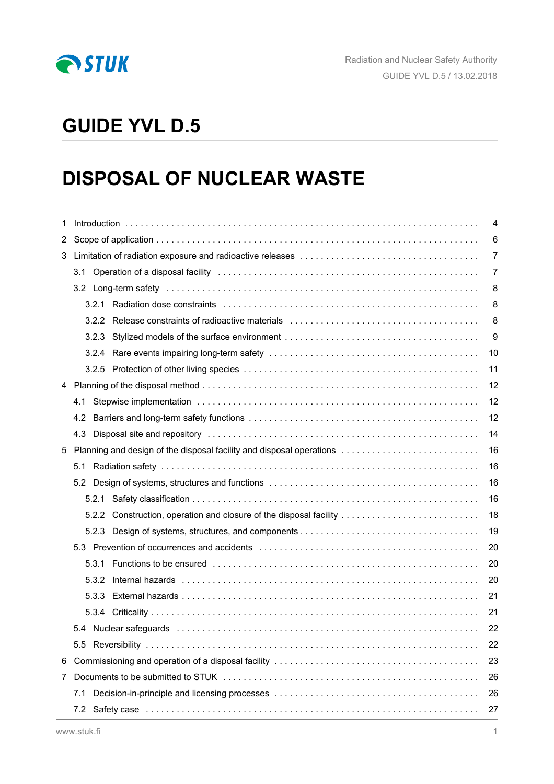

# **GUIDE YVL D.5**

# **DISPOSAL OF NUCLEAR WASTE**

| 1  | $\overline{4}$ |                                                                      |    |  |  |  |
|----|----------------|----------------------------------------------------------------------|----|--|--|--|
| 2  |                | 6                                                                    |    |  |  |  |
| 3  |                |                                                                      | 7  |  |  |  |
|    |                |                                                                      |    |  |  |  |
|    |                |                                                                      | 8  |  |  |  |
|    | 3.2.1          |                                                                      | 8  |  |  |  |
|    | 3.2.2          |                                                                      | 8  |  |  |  |
|    |                |                                                                      | 9  |  |  |  |
|    |                |                                                                      | 10 |  |  |  |
|    |                |                                                                      | 11 |  |  |  |
| 4  |                |                                                                      | 12 |  |  |  |
|    | 4.1            |                                                                      | 12 |  |  |  |
|    | 4.2            |                                                                      | 12 |  |  |  |
|    |                |                                                                      | 14 |  |  |  |
| 5  |                | Planning and design of the disposal facility and disposal operations | 16 |  |  |  |
|    | 5.1            |                                                                      | 16 |  |  |  |
|    |                |                                                                      | 16 |  |  |  |
|    |                |                                                                      | 16 |  |  |  |
|    |                | 5.2.2 Construction, operation and closure of the disposal facility   | 18 |  |  |  |
|    |                |                                                                      | 19 |  |  |  |
|    |                |                                                                      | 20 |  |  |  |
|    | 5.3.1          |                                                                      | 20 |  |  |  |
|    | 5.3.2          |                                                                      | 20 |  |  |  |
|    | 5.3.3          |                                                                      | 21 |  |  |  |
|    |                |                                                                      | 21 |  |  |  |
|    |                |                                                                      | 22 |  |  |  |
|    |                |                                                                      | 22 |  |  |  |
| 6  |                |                                                                      | 23 |  |  |  |
| 7. |                |                                                                      |    |  |  |  |
|    | 7.1            |                                                                      | 26 |  |  |  |
|    | 7.2            |                                                                      | 27 |  |  |  |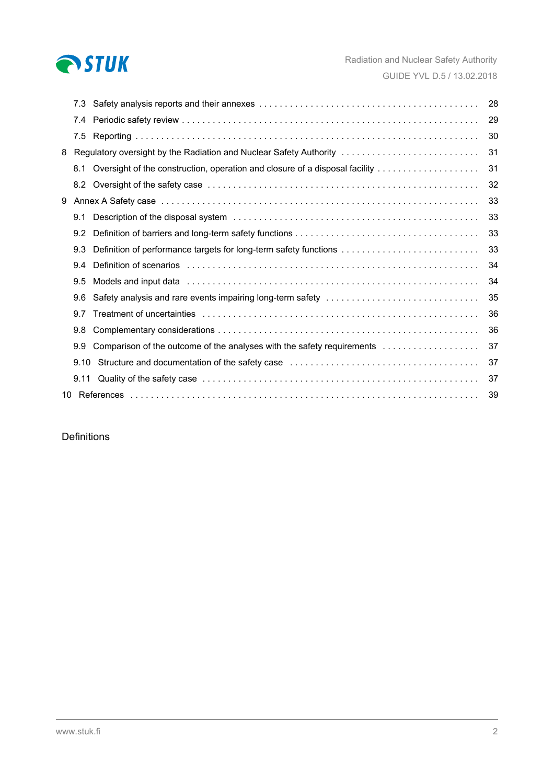

|   | 7.3  |                                                                                                                                                                                                                                | 28 |
|---|------|--------------------------------------------------------------------------------------------------------------------------------------------------------------------------------------------------------------------------------|----|
|   | 7.4  |                                                                                                                                                                                                                                | 29 |
|   | 7.5  |                                                                                                                                                                                                                                | 30 |
| 8 |      | Regulatory oversight by the Radiation and Nuclear Safety Authority                                                                                                                                                             | 31 |
|   | 8.1  | Oversight of the construction, operation and closure of a disposal facility                                                                                                                                                    | 31 |
|   | 8.2  |                                                                                                                                                                                                                                | 32 |
| 9 |      |                                                                                                                                                                                                                                | 33 |
|   | 9.1  |                                                                                                                                                                                                                                | 33 |
|   | 9.2  |                                                                                                                                                                                                                                | 33 |
|   | 9.3  | Definition of performance targets for long-term safety functions                                                                                                                                                               | 33 |
|   | 9.4  | Definition of scenarios with the contract of the contract of the contract of the contract of the contract of the contract of the contract of the contract of the contract of the contract of the contract of the contract of t | 34 |
|   | 9.5  | Models and input data entertainment contains and increase that is a series and input data entertainment of the                                                                                                                 | 34 |
|   | 9.6  | Safety analysis and rare events impairing long-term safety                                                                                                                                                                     | 35 |
|   | 9.7  |                                                                                                                                                                                                                                | 36 |
|   | 9.8  |                                                                                                                                                                                                                                | 36 |
|   | 9.9  | Comparison of the outcome of the analyses with the safety requirements                                                                                                                                                         | 37 |
|   | 9.10 | Structure and documentation of the safety case entertainment contained and contained and set of the safety case                                                                                                                | 37 |
|   | 9.11 |                                                                                                                                                                                                                                | 37 |
|   |      |                                                                                                                                                                                                                                | 39 |

## Definitions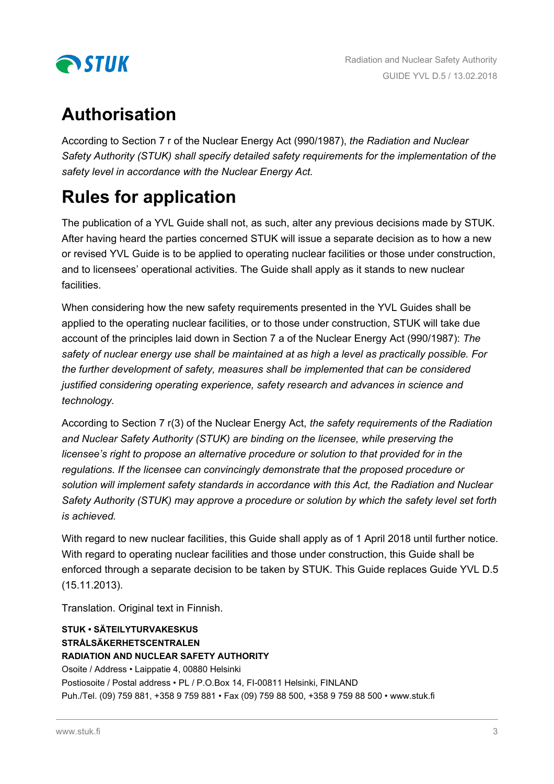

# **Authorisation**

According to Section 7 r of the Nuclear Energy Act (990/1987), *the Radiation and Nuclear Safety Authority (STUK) shall specify detailed safety requirements for the implementation of the safety level in accordance with the Nuclear Energy Act.*

# **Rules for application**

The publication of a YVL Guide shall not, as such, alter any previous decisions made by STUK. After having heard the parties concerned STUK will issue a separate decision as to how a new or revised YVL Guide is to be applied to operating nuclear facilities or those under construction, and to licensees' operational activities. The Guide shall apply as it stands to new nuclear facilities.

When considering how the new safety requirements presented in the YVL Guides shall be applied to the operating nuclear facilities, or to those under construction, STUK will take due account of the principles laid down in Section 7 a of the Nuclear Energy Act (990/1987): *The safety of nuclear energy use shall be maintained at as high a level as practically possible. For the further development of safety, measures shall be implemented that can be considered justified considering operating experience, safety research and advances in science and technology.*

According to Section 7 r(3) of the Nuclear Energy Act, *the safety requirements of the Radiation and Nuclear Safety Authority (STUK) are binding on the licensee, while preserving the licensee's right to propose an alternative procedure or solution to that provided for in the regulations. If the licensee can convincingly demonstrate that the proposed procedure or solution will implement safety standards in accordance with this Act, the Radiation and Nuclear Safety Authority (STUK) may approve a procedure or solution by which the safety level set forth is achieved.*

With regard to new nuclear facilities, this Guide shall apply as of 1 April 2018 until further notice. With regard to operating nuclear facilities and those under construction, this Guide shall be enforced through a separate decision to be taken by STUK. This Guide replaces Guide YVL D.5 (15.11.2013).

Translation. Original text in Finnish.

#### **STUK • SÄTEILYTURVAKESKUS STRÅLSÄKERHETSCENTRALEN RADIATION AND NUCLEAR SAFETY AUTHORITY**

Osoite / Address • Laippatie 4, 00880 Helsinki Postiosoite / Postal address • PL / P.O.Box 14, FI-00811 Helsinki, FINLAND Puh./Tel. (09) 759 881, +358 9 759 881 • Fax (09) 759 88 500, +358 9 759 88 500 • www.stuk.fi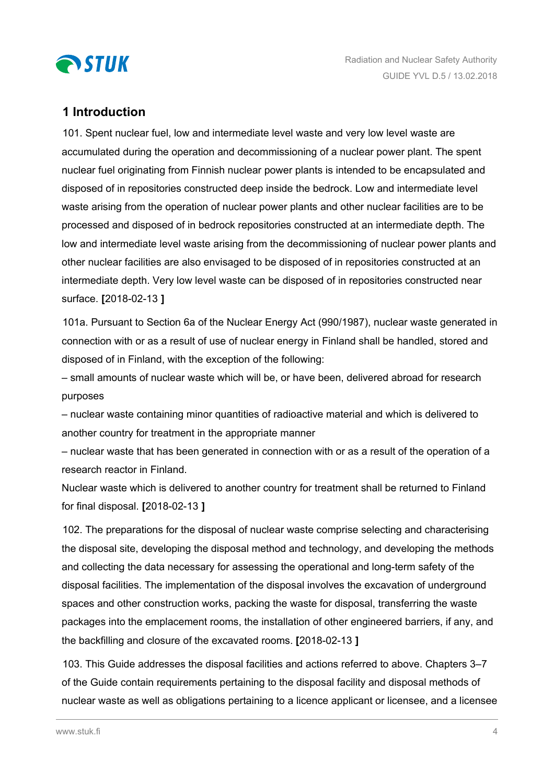<span id="page-3-0"></span>

## **1 Introduction**

101. Spent nuclear fuel, low and intermediate level waste and very low level waste are accumulated during the operation and decommissioning of a nuclear power plant. The spent nuclear fuel originating from Finnish nuclear power plants is intended to be encapsulated and disposed of in repositories constructed deep inside the bedrock. Low and intermediate level waste arising from the operation of nuclear power plants and other nuclear facilities are to be processed and disposed of in bedrock repositories constructed at an intermediate depth. The low and intermediate level waste arising from the decommissioning of nuclear power plants and other nuclear facilities are also envisaged to be disposed of in repositories constructed at an intermediate depth. Very low level waste can be disposed of in repositories constructed near surface. **[**2018-02-13 **]**

101a. Pursuant to Section 6a of the Nuclear Energy Act (990/1987), nuclear waste generated in connection with or as a result of use of nuclear energy in Finland shall be handled, stored and disposed of in Finland, with the exception of the following:

– small amounts of nuclear waste which will be, or have been, delivered abroad for research purposes

– nuclear waste containing minor quantities of radioactive material and which is delivered to another country for treatment in the appropriate manner

– nuclear waste that has been generated in connection with or as a result of the operation of a research reactor in Finland.

Nuclear waste which is delivered to another country for treatment shall be returned to Finland for final disposal. **[**2018-02-13 **]**

102. The preparations for the disposal of nuclear waste comprise selecting and characterising the disposal site, developing the disposal method and technology, and developing the methods and collecting the data necessary for assessing the operational and long-term safety of the disposal facilities. The implementation of the disposal involves the excavation of underground spaces and other construction works, packing the waste for disposal, transferring the waste packages into the emplacement rooms, the installation of other engineered barriers, if any, and the backfilling and closure of the excavated rooms. **[**2018-02-13 **]**

103. This Guide addresses the disposal facilities and actions referred to above. Chapters 3–7 of the Guide contain requirements pertaining to the disposal facility and disposal methods of nuclear waste as well as obligations pertaining to a licence applicant or licensee, and a licensee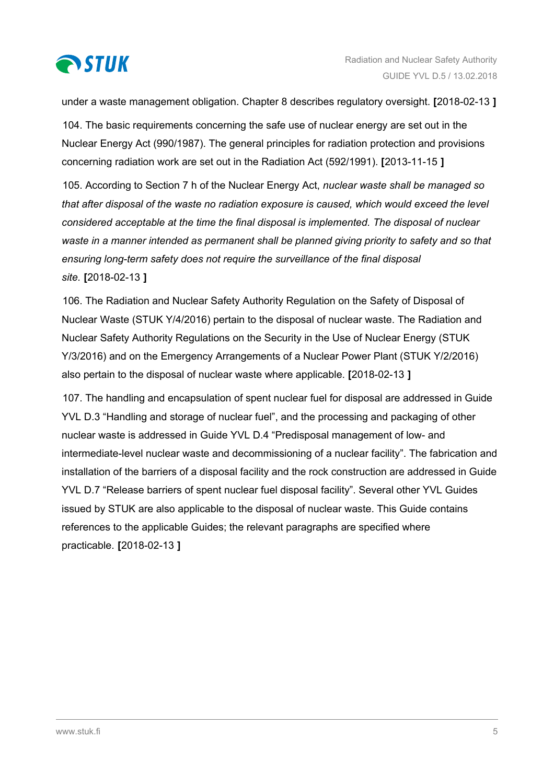

under a waste management obligation. Chapter 8 describes regulatory oversight. **[**2018-02-13 **]**

104. The basic requirements concerning the safe use of nuclear energy are set out in the Nuclear Energy Act (990/1987). The general principles for radiation protection and provisions concerning radiation work are set out in the Radiation Act (592/1991). **[**2013-11-15 **]**

105. According to Section 7 h of the Nuclear Energy Act, *nuclear waste shall be managed so that after disposal of the waste no radiation exposure is caused, which would exceed the level considered acceptable at the time the final disposal is implemented. The disposal of nuclear waste in a manner intended as permanent shall be planned giving priority to safety and so that ensuring long-term safety does not require the surveillance of the final disposal site.* **[**2018-02-13 **]**

106. The Radiation and Nuclear Safety Authority Regulation on the Safety of Disposal of Nuclear Waste (STUK Y/4/2016) pertain to the disposal of nuclear waste. The Radiation and Nuclear Safety Authority Regulations on the Security in the Use of Nuclear Energy (STUK Y/3/2016) and on the Emergency Arrangements of a Nuclear Power Plant (STUK Y/2/2016) also pertain to the disposal of nuclear waste where applicable. **[**2018-02-13 **]**

107. The handling and encapsulation of spent nuclear fuel for disposal are addressed in Guide YVL D.3 "Handling and storage of nuclear fuel", and the processing and packaging of other nuclear waste is addressed in Guide YVL D.4 "Predisposal management of low- and intermediate-level nuclear waste and decommissioning of a nuclear facility". The fabrication and installation of the barriers of a disposal facility and the rock construction are addressed in Guide YVL D.7 "Release barriers of spent nuclear fuel disposal facility". Several other YVL Guides issued by STUK are also applicable to the disposal of nuclear waste. This Guide contains references to the applicable Guides; the relevant paragraphs are specified where practicable. **[**2018-02-13 **]**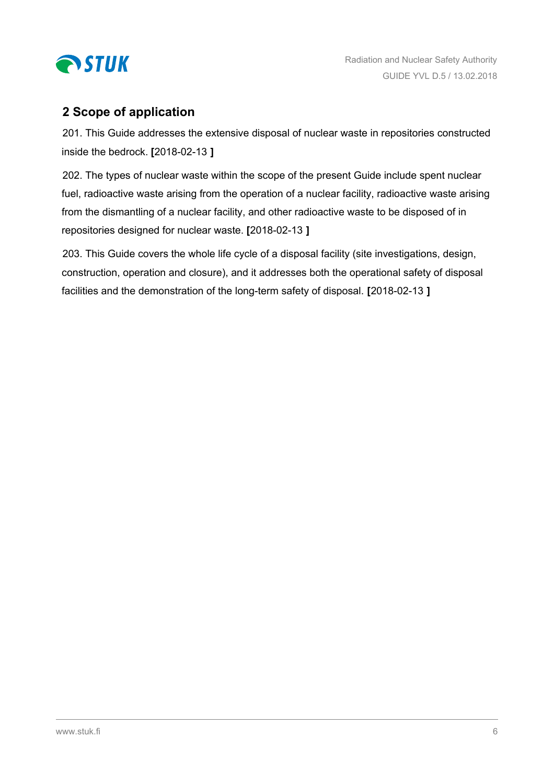<span id="page-5-0"></span>

# **2 Scope of application**

201. This Guide addresses the extensive disposal of nuclear waste in repositories constructed inside the bedrock. **[**2018-02-13 **]**

202. The types of nuclear waste within the scope of the present Guide include spent nuclear fuel, radioactive waste arising from the operation of a nuclear facility, radioactive waste arising from the dismantling of a nuclear facility, and other radioactive waste to be disposed of in repositories designed for nuclear waste. **[**2018-02-13 **]**

203. This Guide covers the whole life cycle of a disposal facility (site investigations, design, construction, operation and closure), and it addresses both the operational safety of disposal facilities and the demonstration of the long-term safety of disposal. **[**2018-02-13 **]**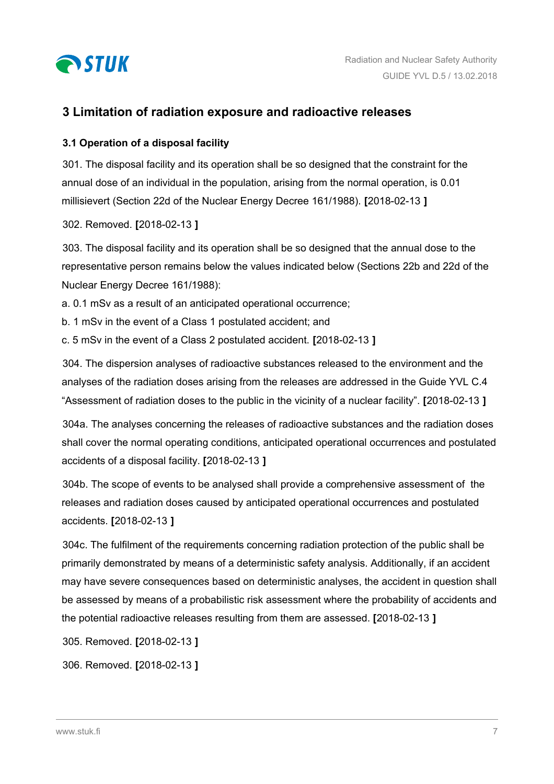<span id="page-6-0"></span>

## **3 Limitation of radiation exposure and radioactive releases**

### **3.1 Operation of a disposal facility**

301. The disposal facility and its operation shall be so designed that the constraint for the annual dose of an individual in the population, arising from the normal operation, is 0.01 millisievert (Section 22d of the Nuclear Energy Decree 161/1988). **[**2018-02-13 **]**

302. Removed. **[**2018-02-13 **]**

303. The disposal facility and its operation shall be so designed that the annual dose to the representative person remains below the values indicated below (Sections 22b and 22d of the Nuclear Energy Decree 161/1988):

a. 0.1 mSv as a result of an anticipated operational occurrence;

- b. 1 mSv in the event of a Class 1 postulated accident; and
- c. 5 mSv in the event of a Class 2 postulated accident. **[**2018-02-13 **]**

304. The dispersion analyses of radioactive substances released to the environment and the analyses of the radiation doses arising from the releases are addressed in the Guide YVL C.4 "Assessment of radiation doses to the public in the vicinity of a nuclear facility". **[**2018-02-13 **]**

304a. The analyses concerning the releases of radioactive substances and the radiation doses shall cover the normal operating conditions, anticipated operational occurrences and postulated accidents of a disposal facility. **[**2018-02-13 **]**

304b. The scope of events to be analysed shall provide a comprehensive assessment of the releases and radiation doses caused by anticipated operational occurrences and postulated accidents. **[**2018-02-13 **]**

304c. The fulfilment of the requirements concerning radiation protection of the public shall be primarily demonstrated by means of a deterministic safety analysis. Additionally, if an accident may have severe consequences based on deterministic analyses, the accident in question shall be assessed by means of a probabilistic risk assessment where the probability of accidents and the potential radioactive releases resulting from them are assessed. **[**2018-02-13 **]**

305. Removed. **[**2018-02-13 **]**

306. Removed. **[**2018-02-13 **]**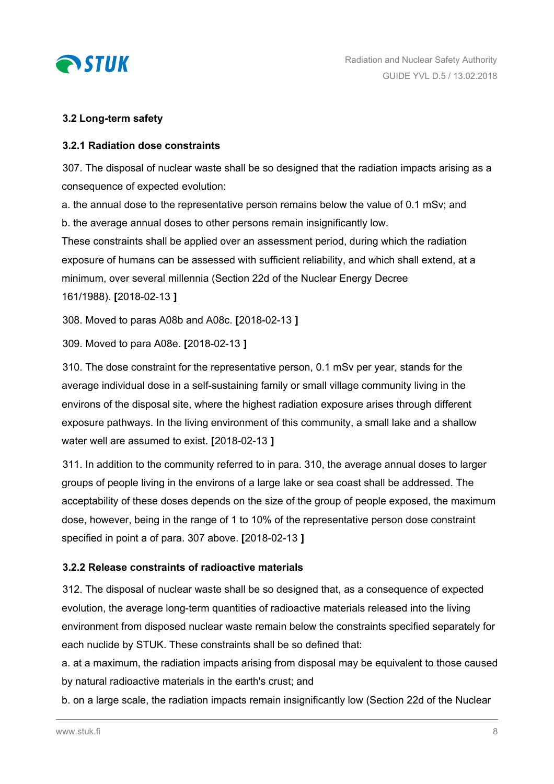<span id="page-7-0"></span>

## **3.2 Long-term safety**

#### **3.2.1 Radiation dose constraints**

307. The disposal of nuclear waste shall be so designed that the radiation impacts arising as a consequence of expected evolution:

a. the annual dose to the representative person remains below the value of 0.1 mSv; and b. the average annual doses to other persons remain insignificantly low.

These constraints shall be applied over an assessment period, during which the radiation exposure of humans can be assessed with sufficient reliability, and which shall extend, at a minimum, over several millennia (Section 22d of the Nuclear Energy Decree 161/1988). **[**2018-02-13 **]**

308. Moved to paras A08b and A08c. **[**2018-02-13 **]**

309. Moved to para A08e. **[**2018-02-13 **]**

310. The dose constraint for the representative person, 0.1 mSv per year, stands for the average individual dose in a self-sustaining family or small village community living in the environs of the disposal site, where the highest radiation exposure arises through different exposure pathways. In the living environment of this community, a small lake and a shallow water well are assumed to exist. **[**2018-02-13 **]**

311. In addition to the community referred to in para. 310, the average annual doses to larger groups of people living in the environs of a large lake or sea coast shall be addressed. The acceptability of these doses depends on the size of the group of people exposed, the maximum dose, however, being in the range of 1 to 10% of the representative person dose constraint specified in point a of para. 307 above. **[**2018-02-13 **]**

## **3.2.2 Release constraints of radioactive materials**

312. The disposal of nuclear waste shall be so designed that, as a consequence of expected evolution, the average long-term quantities of radioactive materials released into the living environment from disposed nuclear waste remain below the constraints specified separately for each nuclide by STUK. These constraints shall be so defined that:

a. at a maximum, the radiation impacts arising from disposal may be equivalent to those caused by natural radioactive materials in the earth's crust; and

b. on a large scale, the radiation impacts remain insignificantly low (Section 22d of the Nuclear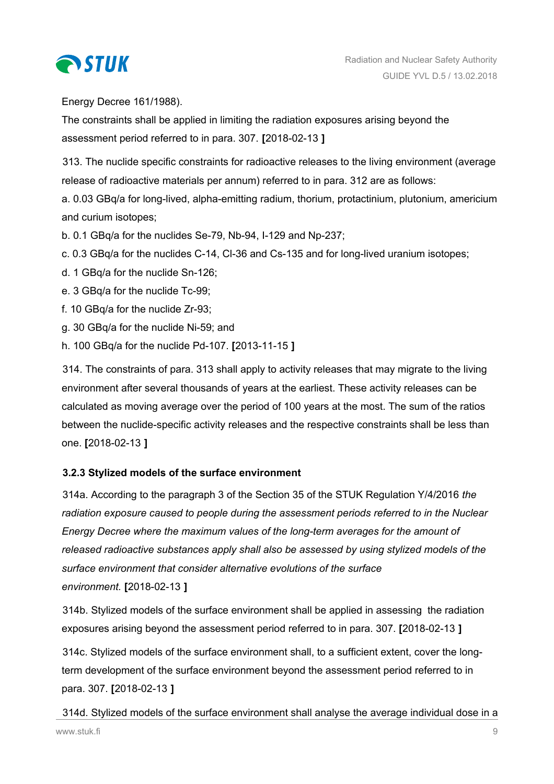<span id="page-8-0"></span>

Energy Decree 161/1988).

The constraints shall be applied in limiting the radiation exposures arising beyond the assessment period referred to in para. 307. **[**2018-02-13 **]**

313. The nuclide specific constraints for radioactive releases to the living environment (average release of radioactive materials per annum) referred to in para. 312 are as follows:

a. 0.03 GBq/a for long-lived, alpha-emitting radium, thorium, protactinium, plutonium, americium and curium isotopes;

b. 0.1 GBq/a for the nuclides Se-79, Nb-94, I-129 and Np-237;

c. 0.3 GBq/a for the nuclides C-14, Cl-36 and Cs-135 and for long-lived uranium isotopes;

d. 1 GBq/a for the nuclide Sn-126;

e. 3 GBq/a for the nuclide Tc-99;

f. 10 GBq/a for the nuclide Zr-93;

- g. 30 GBq/a for the nuclide Ni-59; and
- h. 100 GBq/a for the nuclide Pd-107. **[**2013-11-15 **]**

314. The constraints of para. 313 shall apply to activity releases that may migrate to the living environment after several thousands of years at the earliest. These activity releases can be calculated as moving average over the period of 100 years at the most. The sum of the ratios between the nuclide-specific activity releases and the respective constraints shall be less than one. **[**2018-02-13 **]**

## **3.2.3 Stylized models of the surface environment**

314a. According to the paragraph 3 of the Section 35 of the STUK Regulation Y/4/2016 *the radiation exposure caused to people during the assessment periods referred to in the Nuclear Energy Decree where the maximum values of the long-term averages for the amount of released radioactive substances apply shall also be assessed by using stylized models of the surface environment that consider alternative evolutions of the surface environment.* **[**2018-02-13 **]**

314b. Stylized models of the surface environment shall be applied in assessing the radiation exposures arising beyond the assessment period referred to in para. 307. **[**2018-02-13 **]**

314c. Stylized models of the surface environment shall, to a sufficient extent, cover the longterm development of the surface environment beyond the assessment period referred to in para. 307. **[**2018-02-13 **]**

314d. Stylized models of the surface environment shall analyse the average individual dose in a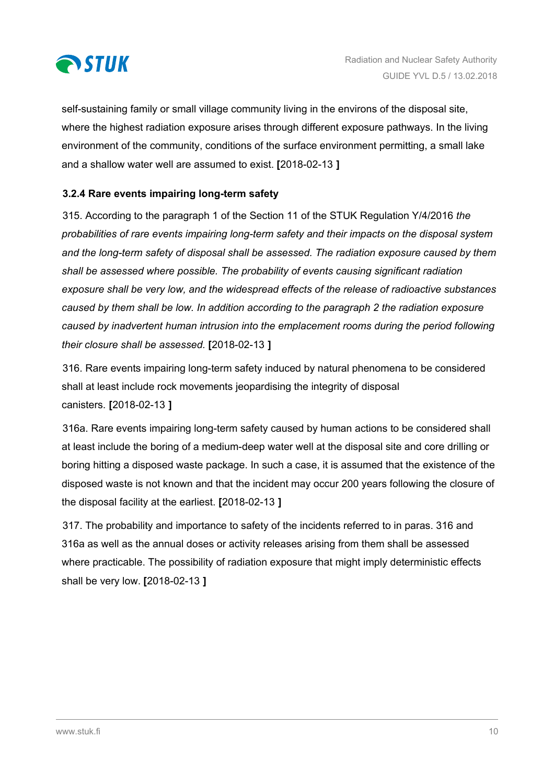<span id="page-9-0"></span>

self-sustaining family or small village community living in the environs of the disposal site, where the highest radiation exposure arises through different exposure pathways. In the living environment of the community, conditions of the surface environment permitting, a small lake and a shallow water well are assumed to exist. **[**2018-02-13 **]**

## **3.2.4 Rare events impairing long-term safety**

315. According to the paragraph 1 of the Section 11 of the STUK Regulation Y/4/2016 *the probabilities of rare events impairing long-term safety and their impacts on the disposal system and the long-term safety of disposal shall be assessed. The radiation exposure caused by them shall be assessed where possible. The probability of events causing significant radiation exposure shall be very low, and the widespread effects of the release of radioactive substances caused by them shall be low. In addition according to the paragraph 2 the radiation exposure caused by inadvertent human intrusion into the emplacement rooms during the period following their closure shall be assessed.* **[**2018-02-13 **]**

316. Rare events impairing long-term safety induced by natural phenomena to be considered shall at least include rock movements jeopardising the integrity of disposal canisters. **[**2018-02-13 **]**

316a. Rare events impairing long-term safety caused by human actions to be considered shall at least include the boring of a medium-deep water well at the disposal site and core drilling or boring hitting a disposed waste package. In such a case, it is assumed that the existence of the disposed waste is not known and that the incident may occur 200 years following the closure of the disposal facility at the earliest. **[**2018-02-13 **]**

317. The probability and importance to safety of the incidents referred to in paras. 316 and 316a as well as the annual doses or activity releases arising from them shall be assessed where practicable. The possibility of radiation exposure that might imply deterministic effects shall be very low. **[**2018-02-13 **]**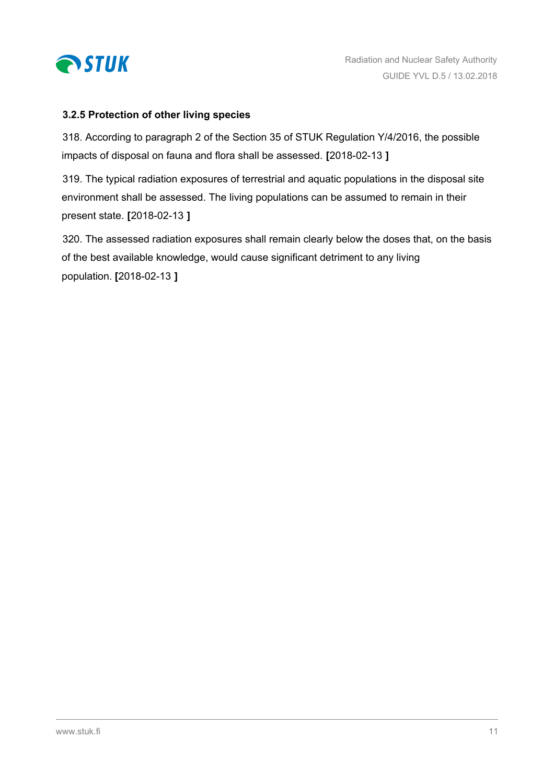<span id="page-10-0"></span>

### **3.2.5 Protection of other living species**

318. According to paragraph 2 of the Section 35 of STUK Regulation Y/4/2016, the possible impacts of disposal on fauna and flora shall be assessed. **[**2018-02-13 **]**

319. The typical radiation exposures of terrestrial and aquatic populations in the disposal site environment shall be assessed. The living populations can be assumed to remain in their present state. **[**2018-02-13 **]**

320. The assessed radiation exposures shall remain clearly below the doses that, on the basis of the best available knowledge, would cause significant detriment to any living population. **[**2018-02-13 **]**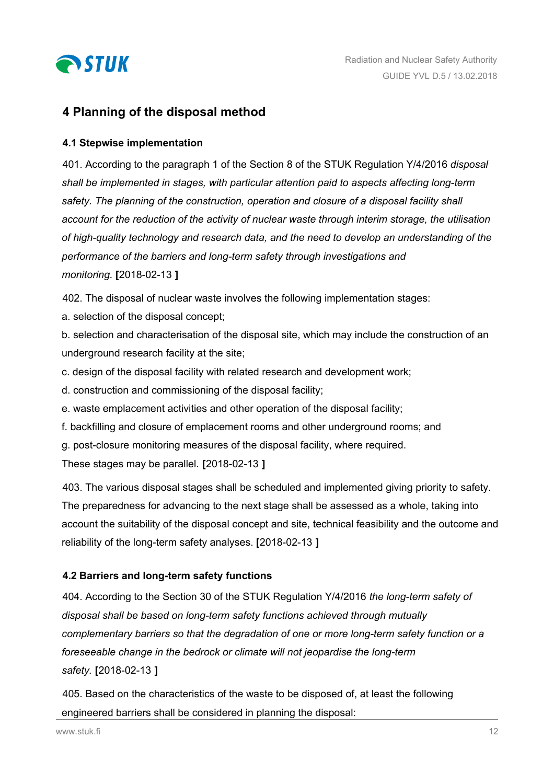<span id="page-11-0"></span>

## **4 Planning of the disposal method**

#### **4.1 Stepwise implementation**

401. According to the paragraph 1 of the Section 8 of the STUK Regulation Y/4/2016 *disposal shall be implemented in stages, with particular attention paid to aspects affecting long-term safety. The planning of the construction, operation and closure of a disposal facility shall account for the reduction of the activity of nuclear waste through interim storage, the utilisation of high-quality technology and research data, and the need to develop an understanding of the performance of the barriers and long-term safety through investigations and monitoring.* **[**2018-02-13 **]**

402. The disposal of nuclear waste involves the following implementation stages:

a. selection of the disposal concept;

b. selection and characterisation of the disposal site, which may include the construction of an underground research facility at the site;

- c. design of the disposal facility with related research and development work;
- d. construction and commissioning of the disposal facility;
- e. waste emplacement activities and other operation of the disposal facility;
- f. backfilling and closure of emplacement rooms and other underground rooms; and
- g. post-closure monitoring measures of the disposal facility, where required.

These stages may be parallel. **[**2018-02-13 **]**

403. The various disposal stages shall be scheduled and implemented giving priority to safety. The preparedness for advancing to the next stage shall be assessed as a whole, taking into account the suitability of the disposal concept and site, technical feasibility and the outcome and reliability of the long-term safety analyses. **[**2018-02-13 **]**

## **4.2 Barriers and long-term safety functions**

404. According to the Section 30 of the STUK Regulation Y/4/2016 *the long-term safety of disposal shall be based on long-term safety functions achieved through mutually complementary barriers so that the degradation of one or more long-term safety function or a foreseeable change in the bedrock or climate will not jeopardise the long-term safety.* **[**2018-02-13 **]**

405. Based on the characteristics of the waste to be disposed of, at least the following engineered barriers shall be considered in planning the disposal: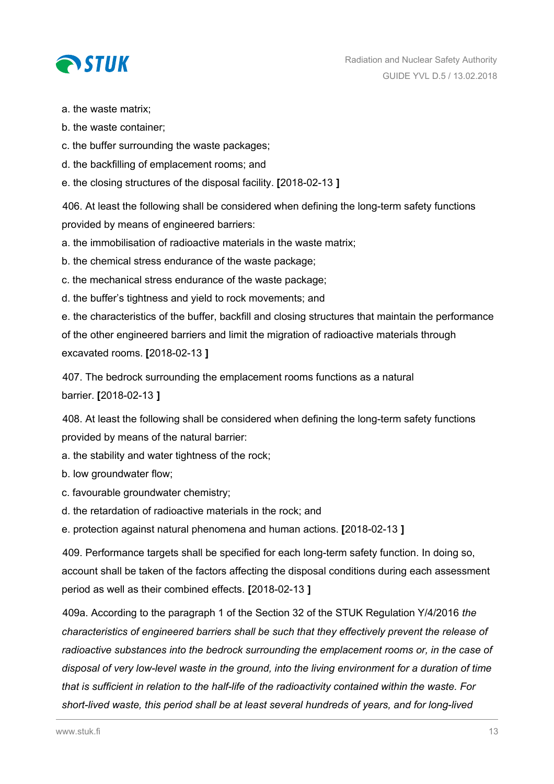

a. the waste matrix;

- b. the waste container;
- c. the buffer surrounding the waste packages;
- d. the backfilling of emplacement rooms; and
- e. the closing structures of the disposal facility. **[**2018-02-13 **]**

406. At least the following shall be considered when defining the long-term safety functions provided by means of engineered barriers:

a. the immobilisation of radioactive materials in the waste matrix;

b. the chemical stress endurance of the waste package;

- c. the mechanical stress endurance of the waste package;
- d. the buffer's tightness and yield to rock movements; and

e. the characteristics of the buffer, backfill and closing structures that maintain the performance of the other engineered barriers and limit the migration of radioactive materials through excavated rooms. **[**2018-02-13 **]**

407. The bedrock surrounding the emplacement rooms functions as a natural barrier. **[**2018-02-13 **]**

408. At least the following shall be considered when defining the long-term safety functions provided by means of the natural barrier:

a. the stability and water tightness of the rock;

b. low groundwater flow;

- c. favourable groundwater chemistry;
- d. the retardation of radioactive materials in the rock; and

e. protection against natural phenomena and human actions. **[**2018-02-13 **]**

409. Performance targets shall be specified for each long-term safety function. In doing so, account shall be taken of the factors affecting the disposal conditions during each assessment period as well as their combined effects. **[**2018-02-13 **]**

409a. According to the paragraph 1 of the Section 32 of the STUK Regulation Y/4/2016 *the characteristics of engineered barriers shall be such that they effectively prevent the release of radioactive substances into the bedrock surrounding the emplacement rooms or, in the case of disposal of very low-level waste in the ground, into the living environment for a duration of time that is sufficient in relation to the half-life of the radioactivity contained within the waste. For short-lived waste, this period shall be at least several hundreds of years, and for long-lived*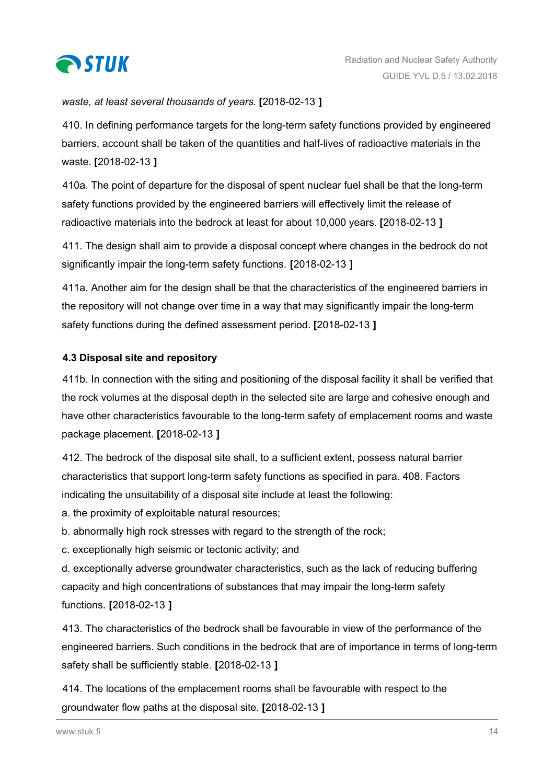<span id="page-13-0"></span>

## *waste, at least several thousands of years.* **[**2018-02-13 **]**

410. In defining performance targets for the long-term safety functions provided by engineered barriers, account shall be taken of the quantities and half-lives of radioactive materials in the waste. **[**2018-02-13 **]**

410a. The point of departure for the disposal of spent nuclear fuel shall be that the long-term safety functions provided by the engineered barriers will effectively limit the release of radioactive materials into the bedrock at least for about 10,000 years. **[**2018-02-13 **]**

411. The design shall aim to provide a disposal concept where changes in the bedrock do not significantly impair the long-term safety functions. **[**2018-02-13 **]**

411a. Another aim for the design shall be that the characteristics of the engineered barriers in the repository will not change over time in a way that may significantly impair the long-term safety functions during the defined assessment period. **[**2018-02-13 **]**

## **4.3 Disposal site and repository**

411b. In connection with the siting and positioning of the disposal facility it shall be verified that the rock volumes at the disposal depth in the selected site are large and cohesive enough and have other characteristics favourable to the long-term safety of emplacement rooms and waste package placement. **[**2018-02-13 **]**

412. The bedrock of the disposal site shall, to a sufficient extent, possess natural barrier characteristics that support long-term safety functions as specified in para. 408. Factors indicating the unsuitability of a disposal site include at least the following:

a. the proximity of exploitable natural resources;

b. abnormally high rock stresses with regard to the strength of the rock;

c. exceptionally high seismic or tectonic activity; and

d. exceptionally adverse groundwater characteristics, such as the lack of reducing buffering capacity and high concentrations of substances that may impair the long-term safety functions. **[**2018-02-13 **]**

413. The characteristics of the bedrock shall be favourable in view of the performance of the engineered barriers. Such conditions in the bedrock that are of importance in terms of long-term safety shall be sufficiently stable. **[**2018-02-13 **]**

414. The locations of the emplacement rooms shall be favourable with respect to the groundwater flow paths at the disposal site. **[**2018-02-13 **]**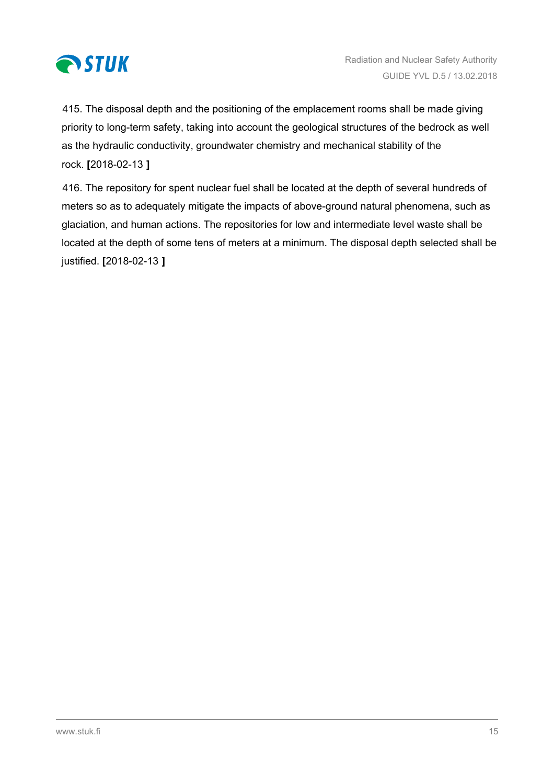

415. The disposal depth and the positioning of the emplacement rooms shall be made giving priority to long-term safety, taking into account the geological structures of the bedrock as well as the hydraulic conductivity, groundwater chemistry and mechanical stability of the rock. **[**2018-02-13 **]**

416. The repository for spent nuclear fuel shall be located at the depth of several hundreds of meters so as to adequately mitigate the impacts of above-ground natural phenomena, such as glaciation, and human actions. The repositories for low and intermediate level waste shall be located at the depth of some tens of meters at a minimum. The disposal depth selected shall be justified. **[**2018-02-13 **]**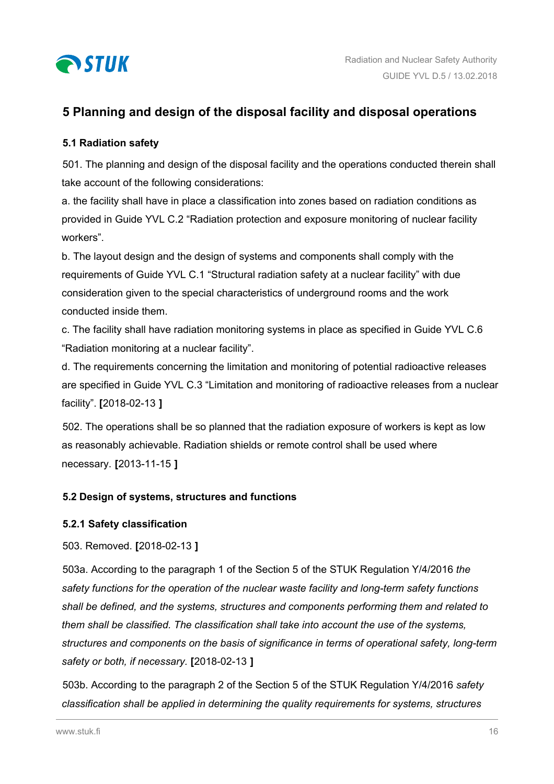<span id="page-15-0"></span>

# **5 Planning and design of the disposal facility and disposal operations**

## **5.1 Radiation safety**

501. The planning and design of the disposal facility and the operations conducted therein shall take account of the following considerations:

a. the facility shall have in place a classification into zones based on radiation conditions as provided in Guide YVL C.2 "Radiation protection and exposure monitoring of nuclear facility workers".

b. The layout design and the design of systems and components shall comply with the requirements of Guide YVL C.1 "Structural radiation safety at a nuclear facility" with due consideration given to the special characteristics of underground rooms and the work conducted inside them.

c. The facility shall have radiation monitoring systems in place as specified in Guide YVL C.6 "Radiation monitoring at a nuclear facility".

d. The requirements concerning the limitation and monitoring of potential radioactive releases are specified in Guide YVL C.3 "Limitation and monitoring of radioactive releases from a nuclear facility". **[**2018-02-13 **]**

502. The operations shall be so planned that the radiation exposure of workers is kept as low as reasonably achievable. Radiation shields or remote control shall be used where necessary. **[**2013-11-15 **]**

## **5.2 Design of systems, structures and functions**

## **5.2.1 Safety classification**

## 503. Removed. **[**2018-02-13 **]**

503a. According to the paragraph 1 of the Section 5 of the STUK Regulation Y/4/2016 *the safety functions for the operation of the nuclear waste facility and long-term safety functions shall be defined, and the systems, structures and components performing them and related to them shall be classified. The classification shall take into account the use of the systems, structures and components on the basis of significance in terms of operational safety, long-term safety or both, if necessary.* **[**2018-02-13 **]**

503b. According to the paragraph 2 of the Section 5 of the STUK Regulation Y/4/2016 *safety classification shall be applied in determining the quality requirements for systems, structures*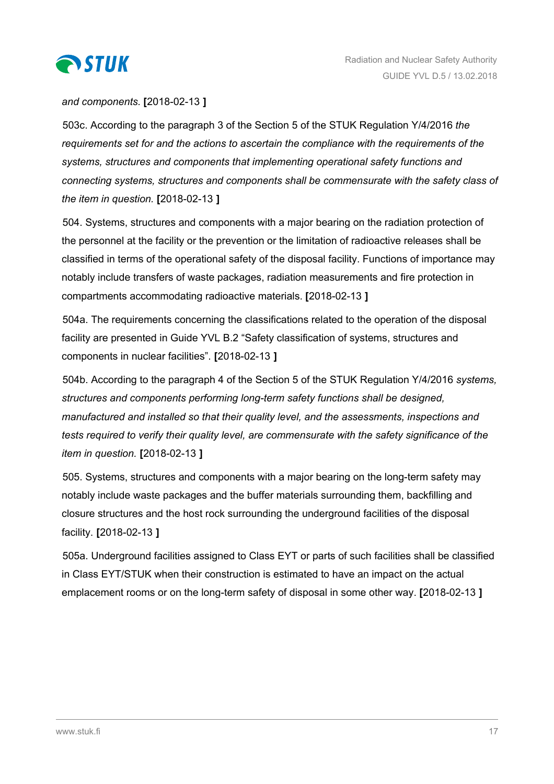

### *and components.* **[**2018-02-13 **]**

503c. According to the paragraph 3 of the Section 5 of the STUK Regulation Y/4/2016 *the requirements set for and the actions to ascertain the compliance with the requirements of the systems, structures and components that implementing operational safety functions and connecting systems, structures and components shall be commensurate with the safety class of the item in question.* **[**2018-02-13 **]**

504. Systems, structures and components with a major bearing on the radiation protection of the personnel at the facility or the prevention or the limitation of radioactive releases shall be classified in terms of the operational safety of the disposal facility. Functions of importance may notably include transfers of waste packages, radiation measurements and fire protection in compartments accommodating radioactive materials. **[**2018-02-13 **]**

504a. The requirements concerning the classifications related to the operation of the disposal facility are presented in Guide YVL B.2 "Safety classification of systems, structures and components in nuclear facilities". **[**2018-02-13 **]**

504b. According to the paragraph 4 of the Section 5 of the STUK Regulation Y/4/2016 *systems, structures and components performing long-term safety functions shall be designed, manufactured and installed so that their quality level, and the assessments, inspections and tests required to verify their quality level, are commensurate with the safety significance of the item in question.* **[**2018-02-13 **]**

505. Systems, structures and components with a major bearing on the long-term safety may notably include waste packages and the buffer materials surrounding them, backfilling and closure structures and the host rock surrounding the underground facilities of the disposal facility. **[**2018-02-13 **]**

505a. Underground facilities assigned to Class EYT or parts of such facilities shall be classified in Class EYT/STUK when their construction is estimated to have an impact on the actual emplacement rooms or on the long-term safety of disposal in some other way. **[**2018-02-13 **]**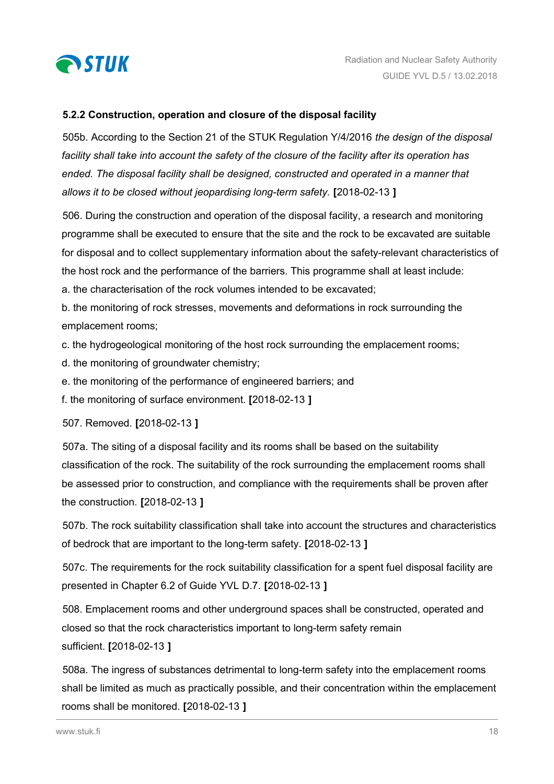<span id="page-17-0"></span>

#### **5.2.2 Construction, operation and closure of the disposal facility**

505b. According to the Section 21 of the STUK Regulation Y/4/2016 *the design of the disposal facility shall take into account the safety of the closure of the facility after its operation has ended. The disposal facility shall be designed, constructed and operated in a manner that allows it to be closed without jeopardising long-term safety.* **[**2018-02-13 **]**

506. During the construction and operation of the disposal facility, a research and monitoring programme shall be executed to ensure that the site and the rock to be excavated are suitable for disposal and to collect supplementary information about the safety-relevant characteristics of the host rock and the performance of the barriers. This programme shall at least include:

a. the characterisation of the rock volumes intended to be excavated;

b. the monitoring of rock stresses, movements and deformations in rock surrounding the emplacement rooms;

c. the hydrogeological monitoring of the host rock surrounding the emplacement rooms;

d. the monitoring of groundwater chemistry;

e. the monitoring of the performance of engineered barriers; and

f. the monitoring of surface environment. **[**2018-02-13 **]**

507. Removed. **[**2018-02-13 **]**

507a. The siting of a disposal facility and its rooms shall be based on the suitability classification of the rock. The suitability of the rock surrounding the emplacement rooms shall be assessed prior to construction, and compliance with the requirements shall be proven after the construction. **[**2018-02-13 **]**

507b. The rock suitability classification shall take into account the structures and characteristics of bedrock that are important to the long-term safety. **[**2018-02-13 **]**

507c. The requirements for the rock suitability classification for a spent fuel disposal facility are presented in Chapter 6.2 of Guide YVL D.7. **[**2018-02-13 **]**

508. Emplacement rooms and other underground spaces shall be constructed, operated and closed so that the rock characteristics important to long-term safety remain sufficient. **[**2018-02-13 **]**

508a. The ingress of substances detrimental to long-term safety into the emplacement rooms shall be limited as much as practically possible, and their concentration within the emplacement rooms shall be monitored. **[**2018-02-13 **]**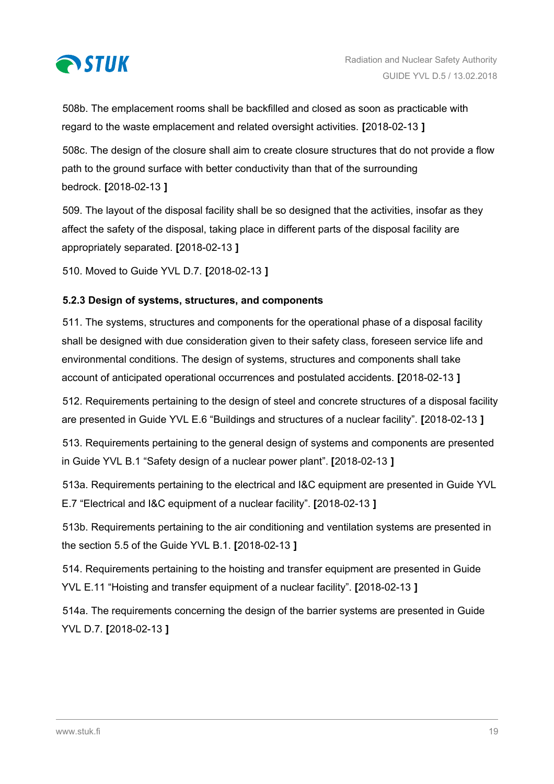<span id="page-18-0"></span>

508b. The emplacement rooms shall be backfilled and closed as soon as practicable with regard to the waste emplacement and related oversight activities. **[**2018-02-13 **]**

508c. The design of the closure shall aim to create closure structures that do not provide a flow path to the ground surface with better conductivity than that of the surrounding bedrock. **[**2018-02-13 **]**

509. The layout of the disposal facility shall be so designed that the activities, insofar as they affect the safety of the disposal, taking place in different parts of the disposal facility are appropriately separated. **[**2018-02-13 **]**

510. Moved to Guide YVL D.7. **[**2018-02-13 **]**

## **5.2.3 Design of systems, structures, and components**

511. The systems, structures and components for the operational phase of a disposal facility shall be designed with due consideration given to their safety class, foreseen service life and environmental conditions. The design of systems, structures and components shall take account of anticipated operational occurrences and postulated accidents. **[**2018-02-13 **]**

512. Requirements pertaining to the design of steel and concrete structures of a disposal facility are presented in Guide YVL E.6 "Buildings and structures of a nuclear facility". **[**2018-02-13 **]**

513. Requirements pertaining to the general design of systems and components are presented in Guide YVL B.1 "Safety design of a nuclear power plant". **[**2018-02-13 **]**

513a. Requirements pertaining to the electrical and I&C equipment are presented in Guide YVL E.7 "Electrical and I&C equipment of a nuclear facility". **[**2018-02-13 **]**

513b. Requirements pertaining to the air conditioning and ventilation systems are presented in the section 5.5 of the Guide YVL B.1. **[**2018-02-13 **]**

514. Requirements pertaining to the hoisting and transfer equipment are presented in Guide YVL E.11 "Hoisting and transfer equipment of a nuclear facility". **[**2018-02-13 **]**

514a. The requirements concerning the design of the barrier systems are presented in Guide YVL D.7. **[**2018-02-13 **]**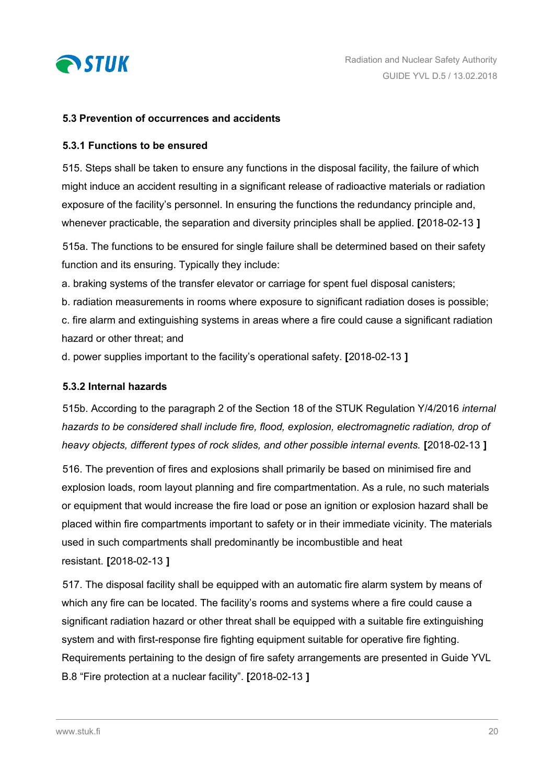<span id="page-19-0"></span>

#### **5.3 Prevention of occurrences and accidents**

#### **5.3.1 Functions to be ensured**

515. Steps shall be taken to ensure any functions in the disposal facility, the failure of which might induce an accident resulting in a significant release of radioactive materials or radiation exposure of the facility's personnel. In ensuring the functions the redundancy principle and, whenever practicable, the separation and diversity principles shall be applied. **[**2018-02-13 **]**

515a. The functions to be ensured for single failure shall be determined based on their safety function and its ensuring. Typically they include:

a. braking systems of the transfer elevator or carriage for spent fuel disposal canisters;

b. radiation measurements in rooms where exposure to significant radiation doses is possible;

c. fire alarm and extinguishing systems in areas where a fire could cause a significant radiation hazard or other threat; and

d. power supplies important to the facility's operational safety. **[**2018-02-13 **]**

#### **5.3.2 Internal hazards**

515b. According to the paragraph 2 of the Section 18 of the STUK Regulation Y/4/2016 *internal hazards to be considered shall include fire, flood, explosion, electromagnetic radiation, drop of heavy objects, different types of rock slides, and other possible internal events.* **[**2018-02-13 **]**

516. The prevention of fires and explosions shall primarily be based on minimised fire and explosion loads, room layout planning and fire compartmentation. As a rule, no such materials or equipment that would increase the fire load or pose an ignition or explosion hazard shall be placed within fire compartments important to safety or in their immediate vicinity. The materials used in such compartments shall predominantly be incombustible and heat resistant. **[**2018-02-13 **]**

517. The disposal facility shall be equipped with an automatic fire alarm system by means of which any fire can be located. The facility's rooms and systems where a fire could cause a significant radiation hazard or other threat shall be equipped with a suitable fire extinguishing system and with first-response fire fighting equipment suitable for operative fire fighting. Requirements pertaining to the design of fire safety arrangements are presented in Guide YVL B.8 "Fire protection at a nuclear facility". **[**2018-02-13 **]**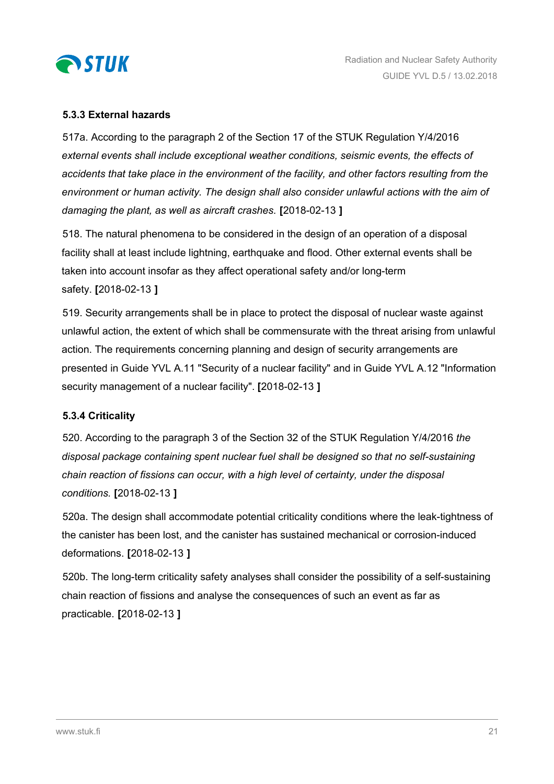<span id="page-20-0"></span>

### **5.3.3 External hazards**

517a. According to the paragraph 2 of the Section 17 of the STUK Regulation Y/4/2016 *external events shall include exceptional weather conditions, seismic events, the effects of accidents that take place in the environment of the facility, and other factors resulting from the environment or human activity. The design shall also consider unlawful actions with the aim of damaging the plant, as well as aircraft crashes.* **[**2018-02-13 **]**

518. The natural phenomena to be considered in the design of an operation of a disposal facility shall at least include lightning, earthquake and flood. Other external events shall be taken into account insofar as they affect operational safety and/or long-term safety. **[**2018-02-13 **]**

519. Security arrangements shall be in place to protect the disposal of nuclear waste against unlawful action, the extent of which shall be commensurate with the threat arising from unlawful action. The requirements concerning planning and design of security arrangements are presented in Guide YVL A.11 "Security of a nuclear facility" and in Guide YVL A.12 "Information security management of a nuclear facility". **[**2018-02-13 **]**

#### **5.3.4 Criticality**

520. According to the paragraph 3 of the Section 32 of the STUK Regulation Y/4/2016 *the disposal package containing spent nuclear fuel shall be designed so that no self-sustaining chain reaction of fissions can occur, with a high level of certainty, under the disposal conditions.* **[**2018-02-13 **]**

520a. The design shall accommodate potential criticality conditions where the leak-tightness of the canister has been lost, and the canister has sustained mechanical or corrosion-induced deformations. **[**2018-02-13 **]**

520b. The long-term criticality safety analyses shall consider the possibility of a self-sustaining chain reaction of fissions and analyse the consequences of such an event as far as practicable. **[**2018-02-13 **]**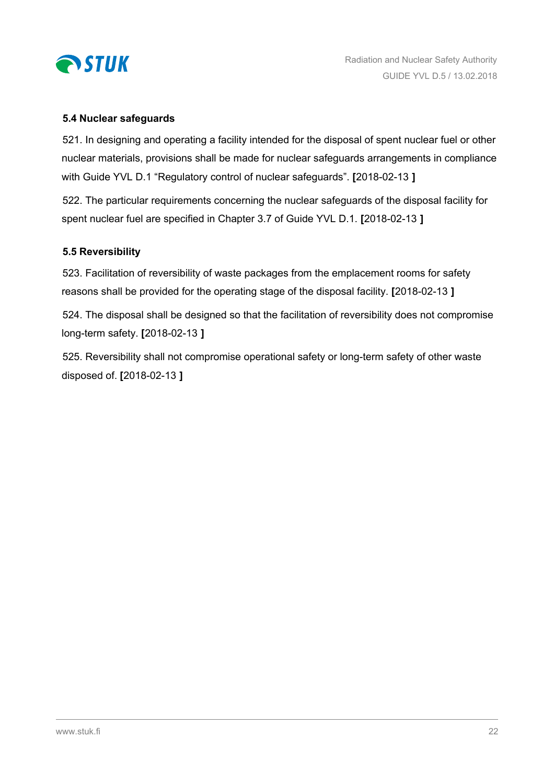<span id="page-21-0"></span>

#### **5.4 Nuclear safeguards**

521. In designing and operating a facility intended for the disposal of spent nuclear fuel or other nuclear materials, provisions shall be made for nuclear safeguards arrangements in compliance with Guide YVL D.1 "Regulatory control of nuclear safeguards". **[**2018-02-13 **]**

522. The particular requirements concerning the nuclear safeguards of the disposal facility for spent nuclear fuel are specified in Chapter 3.7 of Guide YVL D.1. **[**2018-02-13 **]**

#### **5.5 Reversibility**

523. Facilitation of reversibility of waste packages from the emplacement rooms for safety reasons shall be provided for the operating stage of the disposal facility. **[**2018-02-13 **]**

524. The disposal shall be designed so that the facilitation of reversibility does not compromise long-term safety. **[**2018-02-13 **]**

525. Reversibility shall not compromise operational safety or long-term safety of other waste disposed of. **[**2018-02-13 **]**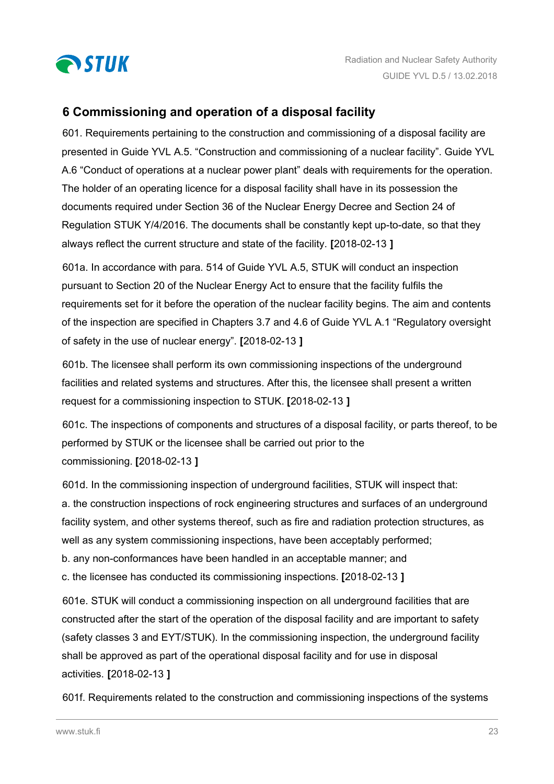<span id="page-22-0"></span>

# **6 Commissioning and operation of a disposal facility**

601. Requirements pertaining to the construction and commissioning of a disposal facility are presented in Guide YVL A.5. "Construction and commissioning of a nuclear facility". Guide YVL A.6 "Conduct of operations at a nuclear power plant" deals with requirements for the operation. The holder of an operating licence for a disposal facility shall have in its possession the documents required under Section 36 of the Nuclear Energy Decree and Section 24 of Regulation STUK Y/4/2016. The documents shall be constantly kept up-to-date, so that they always reflect the current structure and state of the facility. **[**2018-02-13 **]**

601a. In accordance with para. 514 of Guide YVL A.5, STUK will conduct an inspection pursuant to Section 20 of the Nuclear Energy Act to ensure that the facility fulfils the requirements set for it before the operation of the nuclear facility begins. The aim and contents of the inspection are specified in Chapters 3.7 and 4.6 of Guide YVL A.1 "Regulatory oversight of safety in the use of nuclear energy". **[**2018-02-13 **]**

601b. The licensee shall perform its own commissioning inspections of the underground facilities and related systems and structures. After this, the licensee shall present a written request for a commissioning inspection to STUK. **[**2018-02-13 **]**

601c. The inspections of components and structures of a disposal facility, or parts thereof, to be performed by STUK or the licensee shall be carried out prior to the commissioning. **[**2018-02-13 **]**

601d. In the commissioning inspection of underground facilities, STUK will inspect that: a. the construction inspections of rock engineering structures and surfaces of an underground facility system, and other systems thereof, such as fire and radiation protection structures, as well as any system commissioning inspections, have been acceptably performed; b. any non-conformances have been handled in an acceptable manner; and

c. the licensee has conducted its commissioning inspections. **[**2018-02-13 **]**

601e. STUK will conduct a commissioning inspection on all underground facilities that are constructed after the start of the operation of the disposal facility and are important to safety (safety classes 3 and EYT/STUK). In the commissioning inspection, the underground facility shall be approved as part of the operational disposal facility and for use in disposal activities. **[**2018-02-13 **]**

601f. Requirements related to the construction and commissioning inspections of the systems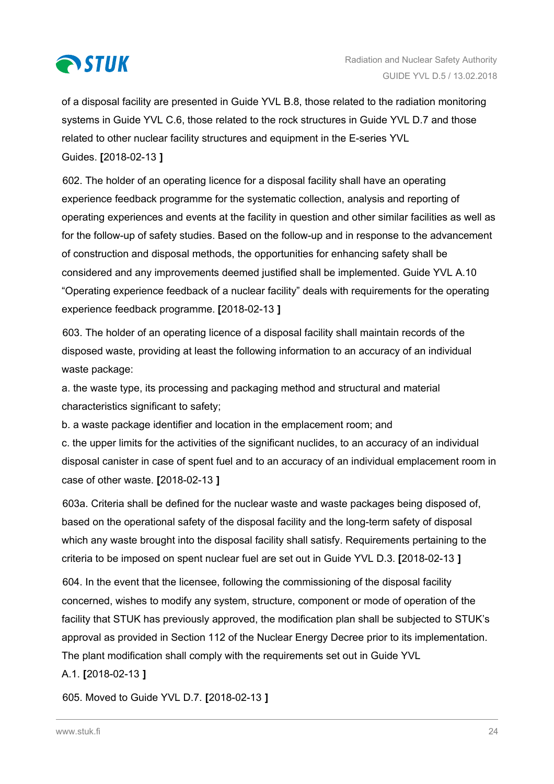

of a disposal facility are presented in Guide YVL B.8, those related to the radiation monitoring systems in Guide YVL C.6, those related to the rock structures in Guide YVL D.7 and those related to other nuclear facility structures and equipment in the E-series YVL Guides. **[**2018-02-13 **]**

602. The holder of an operating licence for a disposal facility shall have an operating experience feedback programme for the systematic collection, analysis and reporting of operating experiences and events at the facility in question and other similar facilities as well as for the follow-up of safety studies. Based on the follow-up and in response to the advancement of construction and disposal methods, the opportunities for enhancing safety shall be considered and any improvements deemed justified shall be implemented. Guide YVL A.10 "Operating experience feedback of a nuclear facility" deals with requirements for the operating experience feedback programme. **[**2018-02-13 **]**

603. The holder of an operating licence of a disposal facility shall maintain records of the disposed waste, providing at least the following information to an accuracy of an individual waste package:

a. the waste type, its processing and packaging method and structural and material characteristics significant to safety;

b. a waste package identifier and location in the emplacement room; and

c. the upper limits for the activities of the significant nuclides, to an accuracy of an individual disposal canister in case of spent fuel and to an accuracy of an individual emplacement room in case of other waste. **[**2018-02-13 **]**

603a. Criteria shall be defined for the nuclear waste and waste packages being disposed of, based on the operational safety of the disposal facility and the long-term safety of disposal which any waste brought into the disposal facility shall satisfy. Requirements pertaining to the criteria to be imposed on spent nuclear fuel are set out in Guide YVL D.3. **[**2018-02-13 **]**

604. In the event that the licensee, following the commissioning of the disposal facility concerned, wishes to modify any system, structure, component or mode of operation of the facility that STUK has previously approved, the modification plan shall be subjected to STUK's approval as provided in Section 112 of the Nuclear Energy Decree prior to its implementation. The plant modification shall comply with the requirements set out in Guide YVL

A.1. **[**2018-02-13 **]**

605. Moved to Guide YVL D.7. **[**2018-02-13 **]**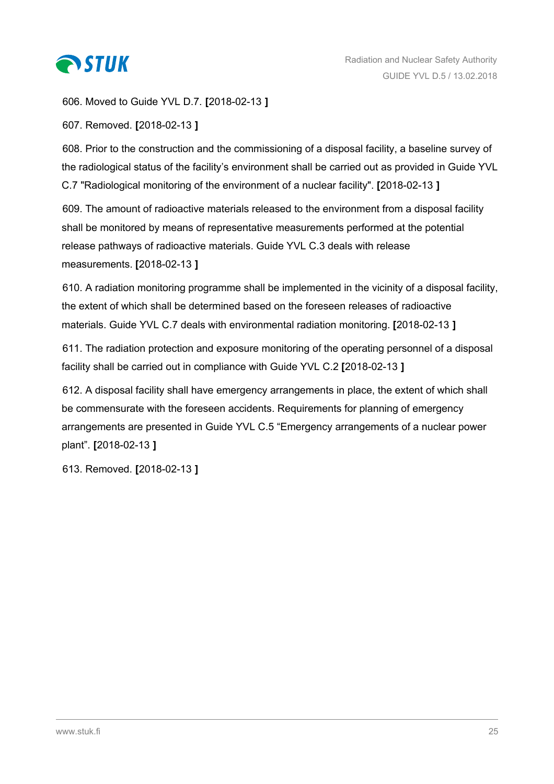

606. Moved to Guide YVL D.7. **[**2018-02-13 **]**

607. Removed. **[**2018-02-13 **]**

608. Prior to the construction and the commissioning of a disposal facility, a baseline survey of the radiological status of the facility's environment shall be carried out as provided in Guide YVL C.7 "Radiological monitoring of the environment of a nuclear facility". **[**2018-02-13 **]**

609. The amount of radioactive materials released to the environment from a disposal facility shall be monitored by means of representative measurements performed at the potential release pathways of radioactive materials. Guide YVL C.3 deals with release measurements. **[**2018-02-13 **]**

610. A radiation monitoring programme shall be implemented in the vicinity of a disposal facility, the extent of which shall be determined based on the foreseen releases of radioactive materials. Guide YVL C.7 deals with environmental radiation monitoring. **[**2018-02-13 **]**

611. The radiation protection and exposure monitoring of the operating personnel of a disposal facility shall be carried out in compliance with Guide YVL C.2 **[**2018-02-13 **]**

612. A disposal facility shall have emergency arrangements in place, the extent of which shall be commensurate with the foreseen accidents. Requirements for planning of emergency arrangements are presented in Guide YVL C.5 "Emergency arrangements of a nuclear power plant". **[**2018-02-13 **]**

613. Removed. **[**2018-02-13 **]**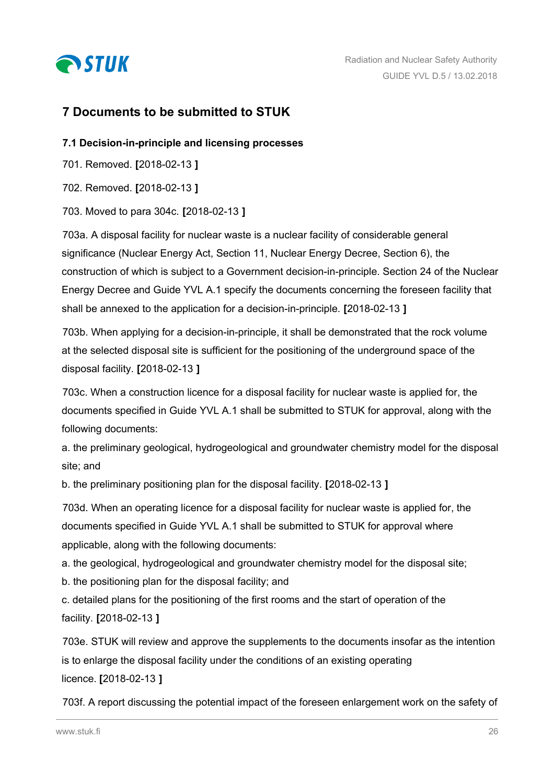<span id="page-25-0"></span>

# **7 Documents to be submitted to STUK**

### **7.1 Decision-in-principle and licensing processes**

701. Removed. **[**2018-02-13 **]**

702. Removed. **[**2018-02-13 **]**

703. Moved to para 304c. **[**2018-02-13 **]**

703a. A disposal facility for nuclear waste is a nuclear facility of considerable general significance (Nuclear Energy Act, Section 11, Nuclear Energy Decree, Section 6), the construction of which is subject to a Government decision-in-principle. Section 24 of the Nuclear Energy Decree and Guide YVL A.1 specify the documents concerning the foreseen facility that shall be annexed to the application for a decision-in-principle. **[**2018-02-13 **]**

703b. When applying for a decision-in-principle, it shall be demonstrated that the rock volume at the selected disposal site is sufficient for the positioning of the underground space of the disposal facility. **[**2018-02-13 **]**

703c. When a construction licence for a disposal facility for nuclear waste is applied for, the documents specified in Guide YVL A.1 shall be submitted to STUK for approval, along with the following documents:

a. the preliminary geological, hydrogeological and groundwater chemistry model for the disposal site; and

b. the preliminary positioning plan for the disposal facility. **[**2018-02-13 **]**

703d. When an operating licence for a disposal facility for nuclear waste is applied for, the documents specified in Guide YVL A.1 shall be submitted to STUK for approval where applicable, along with the following documents:

a. the geological, hydrogeological and groundwater chemistry model for the disposal site;

b. the positioning plan for the disposal facility; and

c. detailed plans for the positioning of the first rooms and the start of operation of the facility. **[**2018-02-13 **]**

703e. STUK will review and approve the supplements to the documents insofar as the intention is to enlarge the disposal facility under the conditions of an existing operating licence. **[**2018-02-13 **]**

703f. A report discussing the potential impact of the foreseen enlargement work on the safety of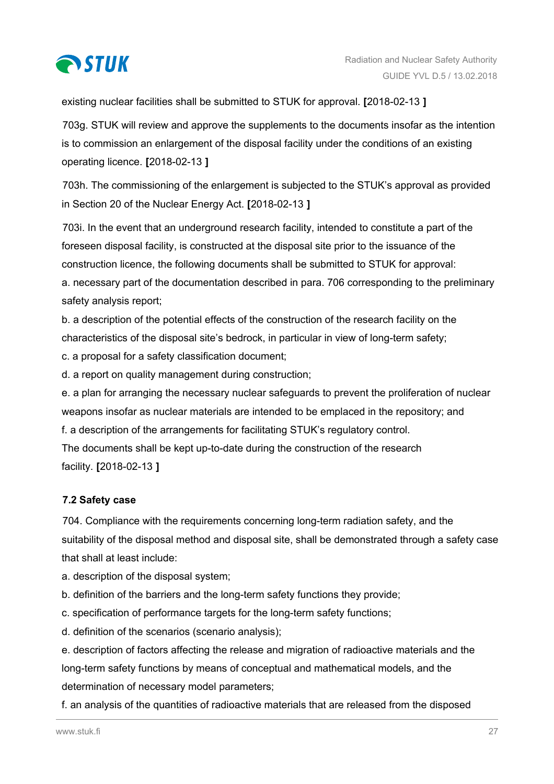<span id="page-26-0"></span>

existing nuclear facilities shall be submitted to STUK for approval. **[**2018-02-13 **]**

703g. STUK will review and approve the supplements to the documents insofar as the intention is to commission an enlargement of the disposal facility under the conditions of an existing operating licence. **[**2018-02-13 **]**

703h. The commissioning of the enlargement is subjected to the STUK's approval as provided in Section 20 of the Nuclear Energy Act. **[**2018-02-13 **]**

703i. In the event that an underground research facility, intended to constitute a part of the foreseen disposal facility, is constructed at the disposal site prior to the issuance of the construction licence, the following documents shall be submitted to STUK for approval: a. necessary part of the documentation described in para. 706 corresponding to the preliminary safety analysis report;

b. a description of the potential effects of the construction of the research facility on the characteristics of the disposal site's bedrock, in particular in view of long-term safety;

c. a proposal for a safety classification document;

d. a report on quality management during construction;

e. a plan for arranging the necessary nuclear safeguards to prevent the proliferation of nuclear weapons insofar as nuclear materials are intended to be emplaced in the repository; and f. a description of the arrangements for facilitating STUK's regulatory control.

The documents shall be kept up-to-date during the construction of the research facility. **[**2018-02-13 **]**

## **7.2 Safety case**

704. Compliance with the requirements concerning long-term radiation safety, and the suitability of the disposal method and disposal site, shall be demonstrated through a safety case that shall at least include:

a. description of the disposal system;

- b. definition of the barriers and the long-term safety functions they provide;
- c. specification of performance targets for the long-term safety functions;
- d. definition of the scenarios (scenario analysis);

e. description of factors affecting the release and migration of radioactive materials and the long-term safety functions by means of conceptual and mathematical models, and the determination of necessary model parameters;

f. an analysis of the quantities of radioactive materials that are released from the disposed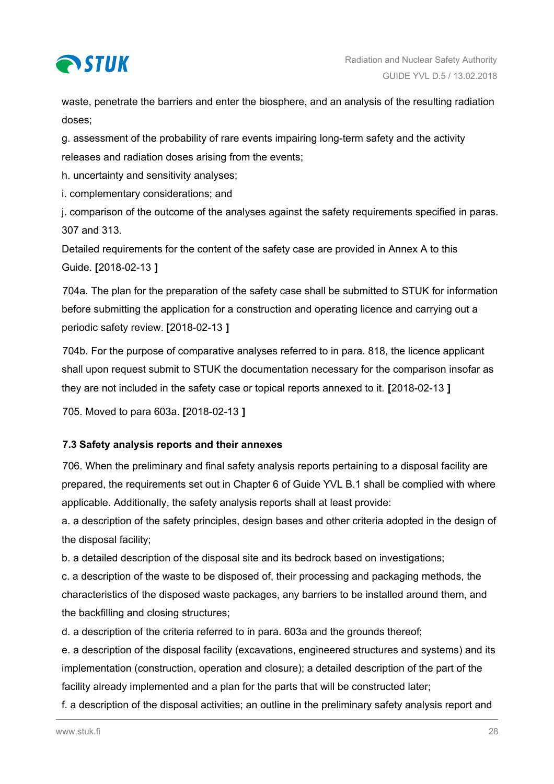<span id="page-27-0"></span>

waste, penetrate the barriers and enter the biosphere, and an analysis of the resulting radiation doses;

g. assessment of the probability of rare events impairing long-term safety and the activity releases and radiation doses arising from the events;

h. uncertainty and sensitivity analyses;

i. complementary considerations; and

j. comparison of the outcome of the analyses against the safety requirements specified in paras. 307 and 313.

Detailed requirements for the content of the safety case are provided in Annex A to this Guide. **[**2018-02-13 **]**

704a. The plan for the preparation of the safety case shall be submitted to STUK for information before submitting the application for a construction and operating licence and carrying out a periodic safety review. **[**2018-02-13 **]**

704b. For the purpose of comparative analyses referred to in para. 818, the licence applicant shall upon request submit to STUK the documentation necessary for the comparison insofar as they are not included in the safety case or topical reports annexed to it. **[**2018-02-13 **]**

705. Moved to para 603a. **[**2018-02-13 **]**

## **7.3 Safety analysis reports and their annexes**

706. When the preliminary and final safety analysis reports pertaining to a disposal facility are prepared, the requirements set out in Chapter 6 of Guide YVL B.1 shall be complied with where applicable. Additionally, the safety analysis reports shall at least provide:

a. a description of the safety principles, design bases and other criteria adopted in the design of the disposal facility;

b. a detailed description of the disposal site and its bedrock based on investigations;

c. a description of the waste to be disposed of, their processing and packaging methods, the characteristics of the disposed waste packages, any barriers to be installed around them, and the backfilling and closing structures;

d. a description of the criteria referred to in para. 603a and the grounds thereof;

e. a description of the disposal facility (excavations, engineered structures and systems) and its implementation (construction, operation and closure); a detailed description of the part of the facility already implemented and a plan for the parts that will be constructed later;

f. a description of the disposal activities; an outline in the preliminary safety analysis report and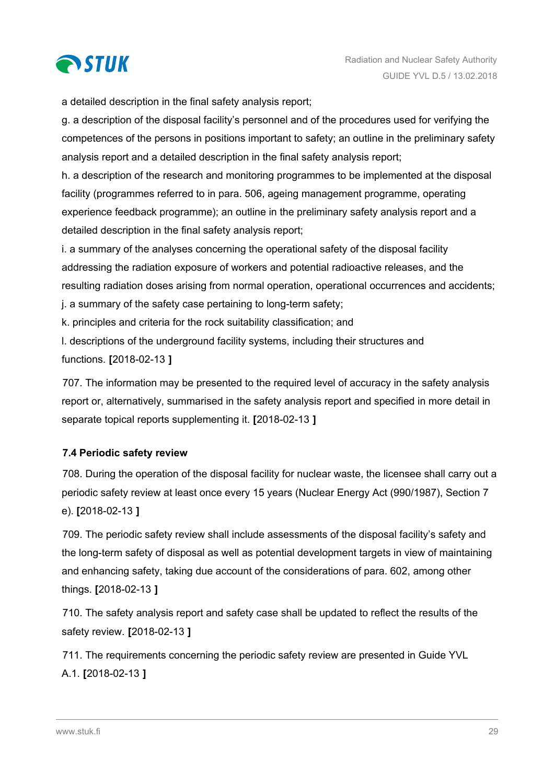<span id="page-28-0"></span>

a detailed description in the final safety analysis report;

g. a description of the disposal facility's personnel and of the procedures used for verifying the competences of the persons in positions important to safety; an outline in the preliminary safety analysis report and a detailed description in the final safety analysis report;

h. a description of the research and monitoring programmes to be implemented at the disposal facility (programmes referred to in para. 506, ageing management programme, operating experience feedback programme); an outline in the preliminary safety analysis report and a detailed description in the final safety analysis report;

i. a summary of the analyses concerning the operational safety of the disposal facility addressing the radiation exposure of workers and potential radioactive releases, and the resulting radiation doses arising from normal operation, operational occurrences and accidents;

j. a summary of the safety case pertaining to long-term safety;

k. principles and criteria for the rock suitability classification; and

l. descriptions of the underground facility systems, including their structures and

functions. **[**2018-02-13 **]**

707. The information may be presented to the required level of accuracy in the safety analysis report or, alternatively, summarised in the safety analysis report and specified in more detail in separate topical reports supplementing it. **[**2018-02-13 **]**

## **7.4 Periodic safety review**

708. During the operation of the disposal facility for nuclear waste, the licensee shall carry out a periodic safety review at least once every 15 years (Nuclear Energy Act (990/1987), Section 7 e). **[**2018-02-13 **]**

709. The periodic safety review shall include assessments of the disposal facility's safety and the long-term safety of disposal as well as potential development targets in view of maintaining and enhancing safety, taking due account of the considerations of para. 602, among other things. **[**2018-02-13 **]**

710. The safety analysis report and safety case shall be updated to reflect the results of the safety review. **[**2018-02-13 **]**

711. The requirements concerning the periodic safety review are presented in Guide YVL A.1. **[**2018-02-13 **]**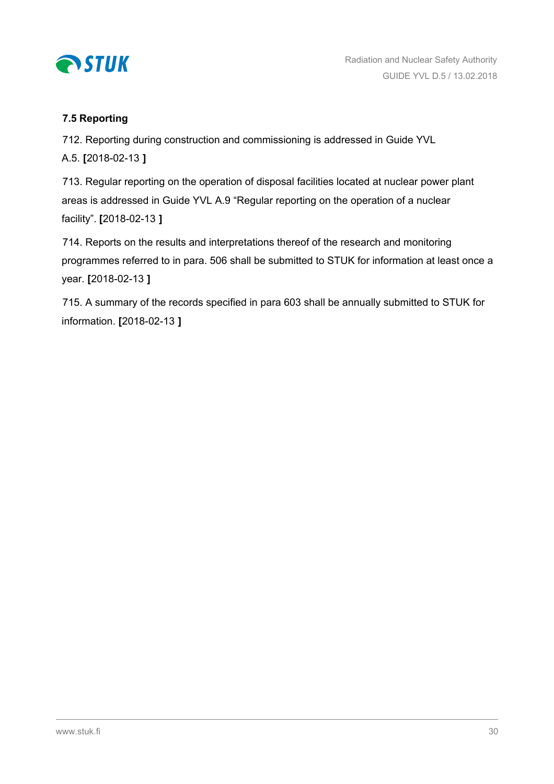<span id="page-29-0"></span>

## **7.5 Reporting**

712. Reporting during construction and commissioning is addressed in Guide YVL A.5. **[**2018-02-13 **]**

713. Regular reporting on the operation of disposal facilities located at nuclear power plant areas is addressed in Guide YVL A.9 "Regular reporting on the operation of a nuclear facility". **[**2018-02-13 **]**

714. Reports on the results and interpretations thereof of the research and monitoring programmes referred to in para. 506 shall be submitted to STUK for information at least once a year. **[**2018-02-13 **]**

715. A summary of the records specified in para 603 shall be annually submitted to STUK for information. **[**2018-02-13 **]**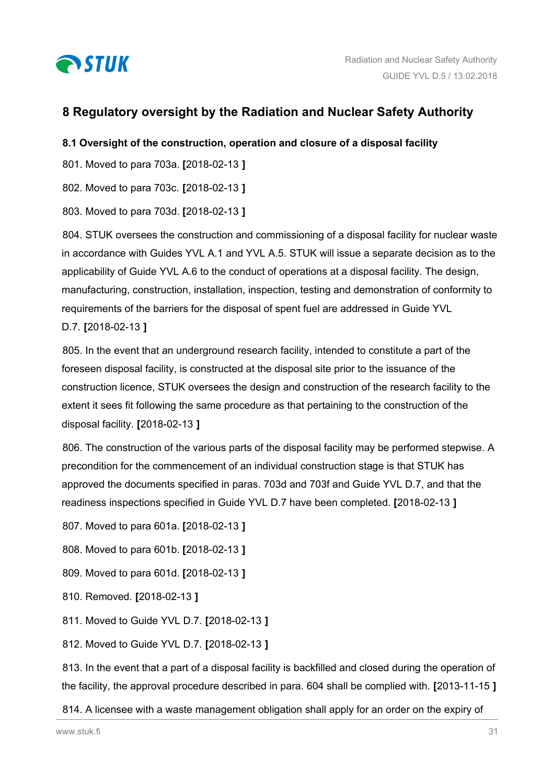<span id="page-30-0"></span>

# **8 Regulatory oversight by the Radiation and Nuclear Safety Authority**

## **8.1 Oversight of the construction, operation and closure of a disposal facility**

801. Moved to para 703a. **[**2018-02-13 **]**

802. Moved to para 703c. **[**2018-02-13 **]**

803. Moved to para 703d. **[**2018-02-13 **]**

804. STUK oversees the construction and commissioning of a disposal facility for nuclear waste in accordance with Guides YVL A.1 and YVL A.5. STUK will issue a separate decision as to the applicability of Guide YVL A.6 to the conduct of operations at a disposal facility. The design, manufacturing, construction, installation, inspection, testing and demonstration of conformity to requirements of the barriers for the disposal of spent fuel are addressed in Guide YVL D.7. **[**2018-02-13 **]**

805. In the event that an underground research facility, intended to constitute a part of the foreseen disposal facility, is constructed at the disposal site prior to the issuance of the construction licence, STUK oversees the design and construction of the research facility to the extent it sees fit following the same procedure as that pertaining to the construction of the disposal facility. **[**2018-02-13 **]**

806. The construction of the various parts of the disposal facility may be performed stepwise. A precondition for the commencement of an individual construction stage is that STUK has approved the documents specified in paras. 703d and 703f and Guide YVL D.7, and that the readiness inspections specified in Guide YVL D.7 have been completed. **[**2018-02-13 **]**

807. Moved to para 601a. **[**2018-02-13 **]**

808. Moved to para 601b. **[**2018-02-13 **]**

- 809. Moved to para 601d. **[**2018-02-13 **]**
- 810. Removed. **[**2018-02-13 **]**

811. Moved to Guide YVL D.7. **[**2018-02-13 **]**

812. Moved to Guide YVL D.7. **[**2018-02-13 **]**

813. In the event that a part of a disposal facility is backfilled and closed during the operation of the facility, the approval procedure described in para. 604 shall be complied with. **[**2013-11-15 **]**

814. A licensee with a waste management obligation shall apply for an order on the expiry of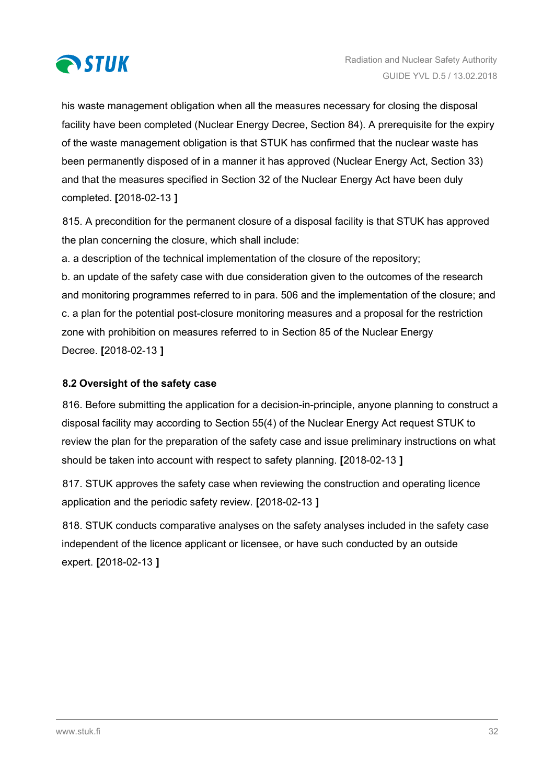<span id="page-31-0"></span>

his waste management obligation when all the measures necessary for closing the disposal facility have been completed (Nuclear Energy Decree, Section 84). A prerequisite for the expiry of the waste management obligation is that STUK has confirmed that the nuclear waste has been permanently disposed of in a manner it has approved (Nuclear Energy Act, Section 33) and that the measures specified in Section 32 of the Nuclear Energy Act have been duly completed. **[**2018-02-13 **]**

815. A precondition for the permanent closure of a disposal facility is that STUK has approved the plan concerning the closure, which shall include:

a. a description of the technical implementation of the closure of the repository;

b. an update of the safety case with due consideration given to the outcomes of the research and monitoring programmes referred to in para. 506 and the implementation of the closure; and c. a plan for the potential post-closure monitoring measures and a proposal for the restriction zone with prohibition on measures referred to in Section 85 of the Nuclear Energy Decree. **[**2018-02-13 **]**

## **8.2 Oversight of the safety case**

816. Before submitting the application for a decision-in-principle, anyone planning to construct a disposal facility may according to Section 55(4) of the Nuclear Energy Act request STUK to review the plan for the preparation of the safety case and issue preliminary instructions on what should be taken into account with respect to safety planning. **[**2018-02-13 **]**

817. STUK approves the safety case when reviewing the construction and operating licence application and the periodic safety review. **[**2018-02-13 **]**

818. STUK conducts comparative analyses on the safety analyses included in the safety case independent of the licence applicant or licensee, or have such conducted by an outside expert. **[**2018-02-13 **]**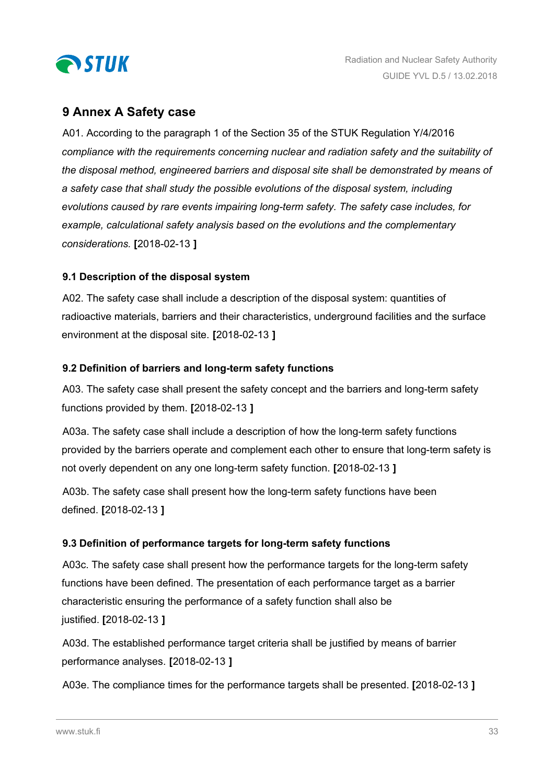<span id="page-32-0"></span>

## **9 Annex A Safety case**

A01. According to the paragraph 1 of the Section 35 of the STUK Regulation Y/4/2016 *compliance with the requirements concerning nuclear and radiation safety and the suitability of the disposal method, engineered barriers and disposal site shall be demonstrated by means of a safety case that shall study the possible evolutions of the disposal system, including evolutions caused by rare events impairing long-term safety. The safety case includes, for example, calculational safety analysis based on the evolutions and the complementary considerations.* **[**2018-02-13 **]**

## **9.1 Description of the disposal system**

A02. The safety case shall include a description of the disposal system: quantities of radioactive materials, barriers and their characteristics, underground facilities and the surface environment at the disposal site. **[**2018-02-13 **]**

## **9.2 Definition of barriers and long-term safety functions**

A03. The safety case shall present the safety concept and the barriers and long-term safety functions provided by them. **[**2018-02-13 **]**

A03a. The safety case shall include a description of how the long-term safety functions provided by the barriers operate and complement each other to ensure that long-term safety is not overly dependent on any one long-term safety function. **[**2018-02-13 **]**

A03b. The safety case shall present how the long-term safety functions have been defined. **[**2018-02-13 **]**

## **9.3 Definition of performance targets for long-term safety functions**

A03c. The safety case shall present how the performance targets for the long-term safety functions have been defined. The presentation of each performance target as a barrier characteristic ensuring the performance of a safety function shall also be justified. **[**2018-02-13 **]**

A03d. The established performance target criteria shall be justified by means of barrier performance analyses. **[**2018-02-13 **]**

A03e. The compliance times for the performance targets shall be presented. **[**2018-02-13 **]**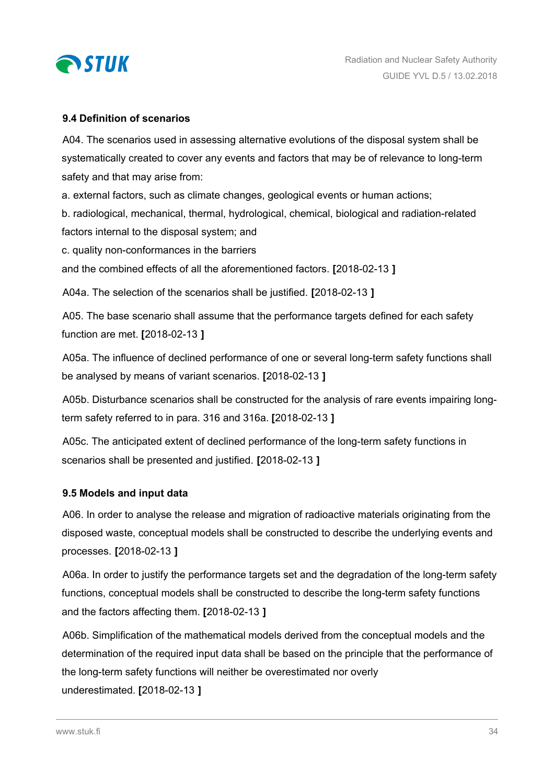<span id="page-33-0"></span>

### **9.4 Definition of scenarios**

A04. The scenarios used in assessing alternative evolutions of the disposal system shall be systematically created to cover any events and factors that may be of relevance to long-term safety and that may arise from:

a. external factors, such as climate changes, geological events or human actions;

b. radiological, mechanical, thermal, hydrological, chemical, biological and radiation-related factors internal to the disposal system; and

c. quality non-conformances in the barriers

and the combined effects of all the aforementioned factors. **[**2018-02-13 **]**

A04a. The selection of the scenarios shall be justified. **[**2018-02-13 **]**

A05. The base scenario shall assume that the performance targets defined for each safety function are met. **[**2018-02-13 **]**

A05a. The influence of declined performance of one or several long-term safety functions shall be analysed by means of variant scenarios. **[**2018-02-13 **]**

A05b. Disturbance scenarios shall be constructed for the analysis of rare events impairing longterm safety referred to in para. 316 and 316a. **[**2018-02-13 **]**

A05c. The anticipated extent of declined performance of the long-term safety functions in scenarios shall be presented and justified. **[**2018-02-13 **]**

#### **9.5 Models and input data**

A06. In order to analyse the release and migration of radioactive materials originating from the disposed waste, conceptual models shall be constructed to describe the underlying events and processes. **[**2018-02-13 **]**

A06a. In order to justify the performance targets set and the degradation of the long-term safety functions, conceptual models shall be constructed to describe the long-term safety functions and the factors affecting them. **[**2018-02-13 **]**

A06b. Simplification of the mathematical models derived from the conceptual models and the determination of the required input data shall be based on the principle that the performance of the long-term safety functions will neither be overestimated nor overly underestimated. **[**2018-02-13 **]**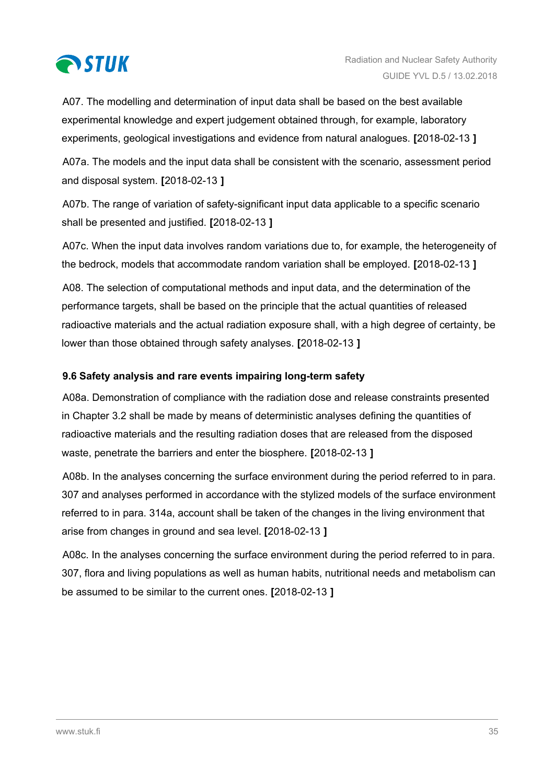<span id="page-34-0"></span>

A07. The modelling and determination of input data shall be based on the best available experimental knowledge and expert judgement obtained through, for example, laboratory experiments, geological investigations and evidence from natural analogues. **[**2018-02-13 **]**

A07a. The models and the input data shall be consistent with the scenario, assessment period and disposal system. **[**2018-02-13 **]**

A07b. The range of variation of safety-significant input data applicable to a specific scenario shall be presented and justified. **[**2018-02-13 **]**

A07c. When the input data involves random variations due to, for example, the heterogeneity of the bedrock, models that accommodate random variation shall be employed. **[**2018-02-13 **]**

A08. The selection of computational methods and input data, and the determination of the performance targets, shall be based on the principle that the actual quantities of released radioactive materials and the actual radiation exposure shall, with a high degree of certainty, be lower than those obtained through safety analyses. **[**2018-02-13 **]**

## **9.6 Safety analysis and rare events impairing long-term safety**

A08a. Demonstration of compliance with the radiation dose and release constraints presented in Chapter 3.2 shall be made by means of deterministic analyses defining the quantities of radioactive materials and the resulting radiation doses that are released from the disposed waste, penetrate the barriers and enter the biosphere. **[**2018-02-13 **]**

A08b. In the analyses concerning the surface environment during the period referred to in para. 307 and analyses performed in accordance with the stylized models of the surface environment referred to in para. 314a, account shall be taken of the changes in the living environment that arise from changes in ground and sea level. **[**2018-02-13 **]**

A08c. In the analyses concerning the surface environment during the period referred to in para. 307, flora and living populations as well as human habits, nutritional needs and metabolism can be assumed to be similar to the current ones. **[**2018-02-13 **]**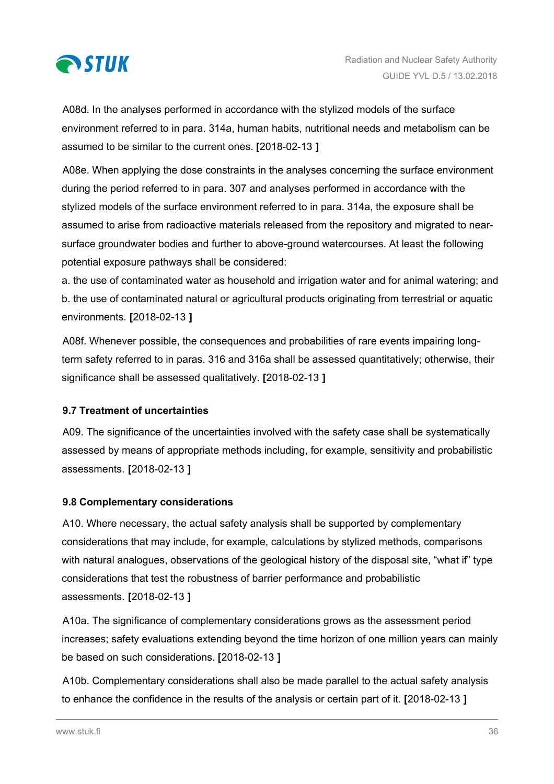<span id="page-35-0"></span>

A08d. In the analyses performed in accordance with the stylized models of the surface environment referred to in para. 314a, human habits, nutritional needs and metabolism can be assumed to be similar to the current ones. **[**2018-02-13 **]**

A08e. When applying the dose constraints in the analyses concerning the surface environment during the period referred to in para. 307 and analyses performed in accordance with the stylized models of the surface environment referred to in para. 314a, the exposure shall be assumed to arise from radioactive materials released from the repository and migrated to nearsurface groundwater bodies and further to above-ground watercourses. At least the following potential exposure pathways shall be considered:

a. the use of contaminated water as household and irrigation water and for animal watering; and b. the use of contaminated natural or agricultural products originating from terrestrial or aquatic environments. **[**2018-02-13 **]**

A08f. Whenever possible, the consequences and probabilities of rare events impairing longterm safety referred to in paras. 316 and 316a shall be assessed quantitatively; otherwise, their significance shall be assessed qualitatively. **[**2018-02-13 **]**

## **9.7 Treatment of uncertainties**

A09. The significance of the uncertainties involved with the safety case shall be systematically assessed by means of appropriate methods including, for example, sensitivity and probabilistic assessments. **[**2018-02-13 **]**

## **9.8 Complementary considerations**

A10. Where necessary, the actual safety analysis shall be supported by complementary considerations that may include, for example, calculations by stylized methods, comparisons with natural analogues, observations of the geological history of the disposal site, "what if" type considerations that test the robustness of barrier performance and probabilistic assessments. **[**2018-02-13 **]**

A10a. The significance of complementary considerations grows as the assessment period increases; safety evaluations extending beyond the time horizon of one million years can mainly be based on such considerations. **[**2018-02-13 **]**

A10b. Complementary considerations shall also be made parallel to the actual safety analysis to enhance the confidence in the results of the analysis or certain part of it. **[**2018-02-13 **]**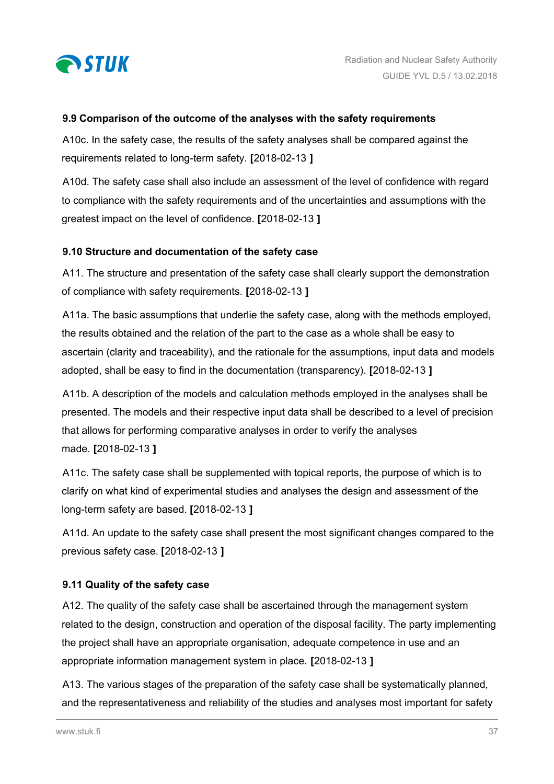<span id="page-36-0"></span>

#### **9.9 Comparison of the outcome of the analyses with the safety requirements**

A10c. In the safety case, the results of the safety analyses shall be compared against the requirements related to long-term safety. **[**2018-02-13 **]**

A10d. The safety case shall also include an assessment of the level of confidence with regard to compliance with the safety requirements and of the uncertainties and assumptions with the greatest impact on the level of confidence. **[**2018-02-13 **]**

#### **9.10 Structure and documentation of the safety case**

A11. The structure and presentation of the safety case shall clearly support the demonstration of compliance with safety requirements. **[**2018-02-13 **]**

A11a. The basic assumptions that underlie the safety case, along with the methods employed, the results obtained and the relation of the part to the case as a whole shall be easy to ascertain (clarity and traceability), and the rationale for the assumptions, input data and models adopted, shall be easy to find in the documentation (transparency). **[**2018-02-13 **]**

A11b. A description of the models and calculation methods employed in the analyses shall be presented. The models and their respective input data shall be described to a level of precision that allows for performing comparative analyses in order to verify the analyses made. **[**2018-02-13 **]**

A11c. The safety case shall be supplemented with topical reports, the purpose of which is to clarify on what kind of experimental studies and analyses the design and assessment of the long-term safety are based. **[**2018-02-13 **]**

A11d. An update to the safety case shall present the most significant changes compared to the previous safety case. **[**2018-02-13 **]**

## **9.11 Quality of the safety case**

A12. The quality of the safety case shall be ascertained through the management system related to the design, construction and operation of the disposal facility. The party implementing the project shall have an appropriate organisation, adequate competence in use and an appropriate information management system in place. **[**2018-02-13 **]**

A13. The various stages of the preparation of the safety case shall be systematically planned, and the representativeness and reliability of the studies and analyses most important for safety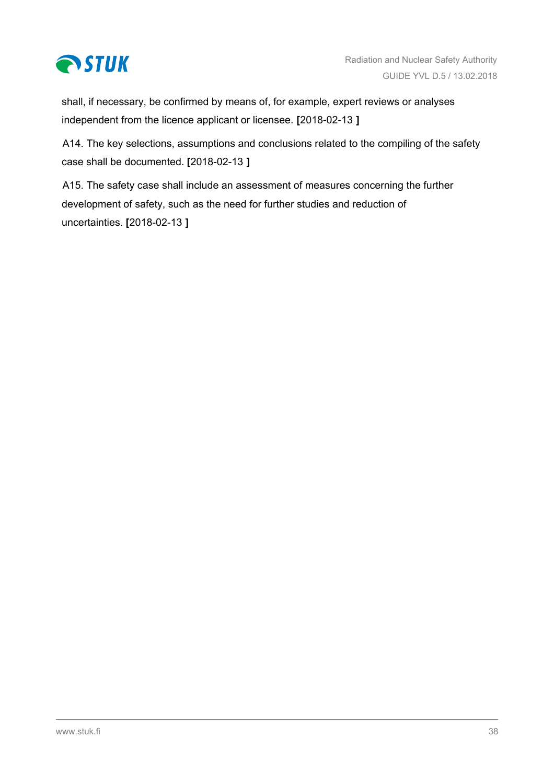

shall, if necessary, be confirmed by means of, for example, expert reviews or analyses independent from the licence applicant or licensee. **[**2018-02-13 **]**

A14. The key selections, assumptions and conclusions related to the compiling of the safety case shall be documented. **[**2018-02-13 **]**

A15. The safety case shall include an assessment of measures concerning the further development of safety, such as the need for further studies and reduction of uncertainties. **[**2018-02-13 **]**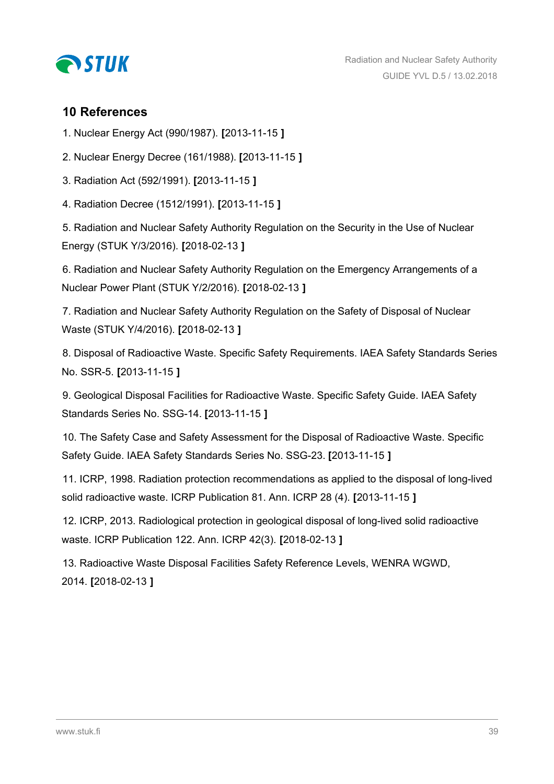<span id="page-38-0"></span>

## **10 References**

1. Nuclear Energy Act (990/1987). **[**2013-11-15 **]**

2. Nuclear Energy Decree (161/1988). **[**2013-11-15 **]**

3. Radiation Act (592/1991). **[**2013-11-15 **]**

4. Radiation Decree (1512/1991). **[**2013-11-15 **]**

5. Radiation and Nuclear Safety Authority Regulation on the Security in the Use of Nuclear Energy (STUK Y/3/2016). **[**2018-02-13 **]**

6. Radiation and Nuclear Safety Authority Regulation on the Emergency Arrangements of a Nuclear Power Plant (STUK Y/2/2016). **[**2018-02-13 **]**

7. Radiation and Nuclear Safety Authority Regulation on the Safety of Disposal of Nuclear Waste (STUK Y/4/2016). **[**2018-02-13 **]**

8. Disposal of Radioactive Waste. Specific Safety Requirements. IAEA Safety Standards Series No. SSR-5. **[**2013-11-15 **]**

9. Geological Disposal Facilities for Radioactive Waste. Specific Safety Guide. IAEA Safety Standards Series No. SSG-14. **[**2013-11-15 **]**

10. The Safety Case and Safety Assessment for the Disposal of Radioactive Waste. Specific Safety Guide. IAEA Safety Standards Series No. SSG-23. **[**2013-11-15 **]**

11. ICRP, 1998. Radiation protection recommendations as applied to the disposal of long-lived solid radioactive waste. ICRP Publication 81. Ann. ICRP 28 (4). **[**2013-11-15 **]**

12. ICRP, 2013. Radiological protection in geological disposal of long-lived solid radioactive waste. ICRP Publication 122. Ann. ICRP 42(3). **[**2018-02-13 **]**

13. Radioactive Waste Disposal Facilities Safety Reference Levels, WENRA WGWD, 2014. **[**2018-02-13 **]**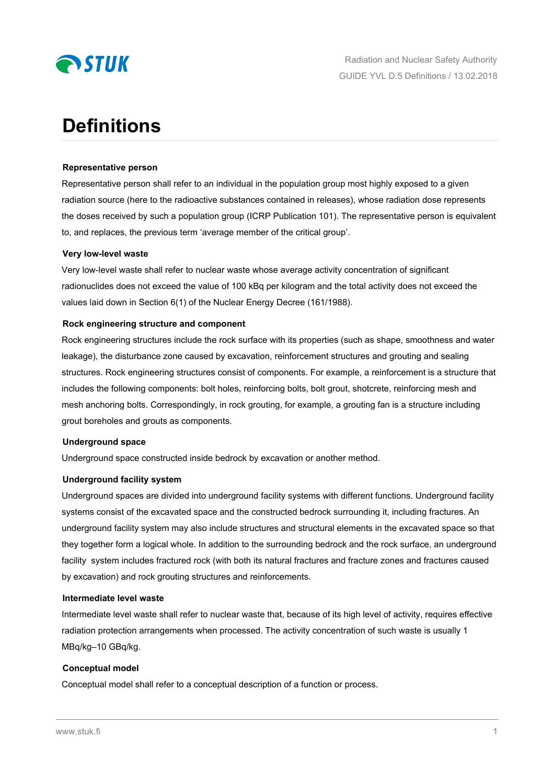

# **Definitions**

#### **Representative person**

Representative person shall refer to an individual in the population group most highly exposed to a given radiation source (here to the radioactive substances contained in releases), whose radiation dose represents the doses received by such a population group (ICRP Publication 101). The representative person is equivalent to, and replaces, the previous term 'average member of the critical group'.

#### **Very low-level waste**

Very low-level waste shall refer to nuclear waste whose average activity concentration of significant radionuclides does not exceed the value of 100 kBq per kilogram and the total activity does not exceed the values laid down in Section 6(1) of the Nuclear Energy Decree (161/1988).

#### **Rock engineering structure and component**

Rock engineering structures include the rock surface with its properties (such as shape, smoothness and water leakage), the disturbance zone caused by excavation, reinforcement structures and grouting and sealing structures. Rock engineering structures consist of components. For example, a reinforcement is a structure that includes the following components: bolt holes, reinforcing bolts, bolt grout, shotcrete, reinforcing mesh and mesh anchoring bolts. Correspondingly, in rock grouting, for example, a grouting fan is a structure including grout boreholes and grouts as components.

#### **Underground space**

Underground space constructed inside bedrock by excavation or another method.

#### **Underground facility system**

Underground spaces are divided into underground facility systems with different functions. Underground facility systems consist of the excavated space and the constructed bedrock surrounding it, including fractures. An underground facility system may also include structures and structural elements in the excavated space so that they together form a logical whole. In addition to the surrounding bedrock and the rock surface, an underground facility system includes fractured rock (with both its natural fractures and fracture zones and fractures caused by excavation) and rock grouting structures and reinforcements.

#### **Intermediate level waste**

Intermediate level waste shall refer to nuclear waste that, because of its high level of activity, requires effective radiation protection arrangements when processed. The activity concentration of such waste is usually 1 MBq/kg–10 GBq/kg.

#### **Conceptual model**

Conceptual model shall refer to a conceptual description of a function or process.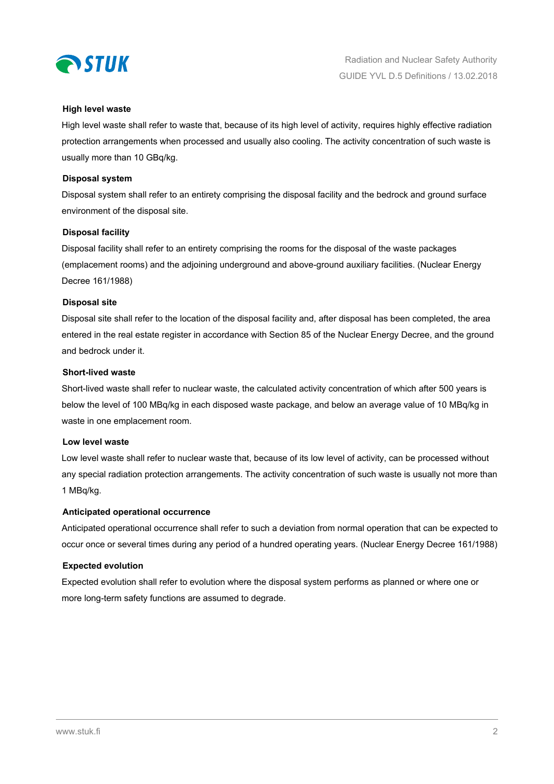

#### **High level waste**

High level waste shall refer to waste that, because of its high level of activity, requires highly effective radiation protection arrangements when processed and usually also cooling. The activity concentration of such waste is usually more than 10 GBq/kg.

#### **Disposal system**

Disposal system shall refer to an entirety comprising the disposal facility and the bedrock and ground surface environment of the disposal site.

#### **Disposal facility**

Disposal facility shall refer to an entirety comprising the rooms for the disposal of the waste packages (emplacement rooms) and the adjoining underground and above-ground auxiliary facilities. (Nuclear Energy Decree 161/1988)

#### **Disposal site**

Disposal site shall refer to the location of the disposal facility and, after disposal has been completed, the area entered in the real estate register in accordance with Section 85 of the Nuclear Energy Decree, and the ground and bedrock under it.

#### **Short-lived waste**

Short-lived waste shall refer to nuclear waste, the calculated activity concentration of which after 500 years is below the level of 100 MBq/kg in each disposed waste package, and below an average value of 10 MBq/kg in waste in one emplacement room.

#### **Low level waste**

Low level waste shall refer to nuclear waste that, because of its low level of activity, can be processed without any special radiation protection arrangements. The activity concentration of such waste is usually not more than 1 MBq/kg.

#### **Anticipated operational occurrence**

Anticipated operational occurrence shall refer to such a deviation from normal operation that can be expected to occur once or several times during any period of a hundred operating years. (Nuclear Energy Decree 161/1988)

#### **Expected evolution**

Expected evolution shall refer to evolution where the disposal system performs as planned or where one or more long-term safety functions are assumed to degrade.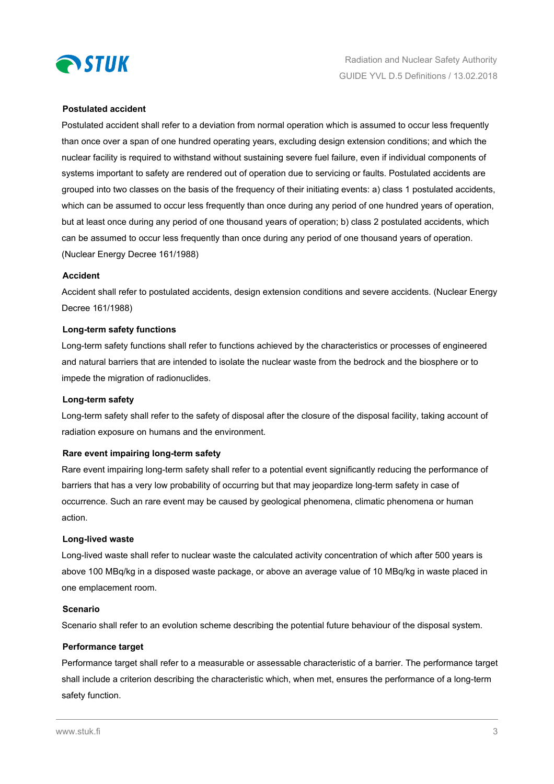

#### **Postulated accident**

Postulated accident shall refer to a deviation from normal operation which is assumed to occur less frequently than once over a span of one hundred operating years, excluding design extension conditions; and which the nuclear facility is required to withstand without sustaining severe fuel failure, even if individual components of systems important to safety are rendered out of operation due to servicing or faults. Postulated accidents are grouped into two classes on the basis of the frequency of their initiating events: a) class 1 postulated accidents, which can be assumed to occur less frequently than once during any period of one hundred years of operation, but at least once during any period of one thousand years of operation; b) class 2 postulated accidents, which can be assumed to occur less frequently than once during any period of one thousand years of operation. (Nuclear Energy Decree 161/1988)

#### **Accident**

Accident shall refer to postulated accidents, design extension conditions and severe accidents. (Nuclear Energy Decree 161/1988)

#### **Long-term safety functions**

Long-term safety functions shall refer to functions achieved by the characteristics or processes of engineered and natural barriers that are intended to isolate the nuclear waste from the bedrock and the biosphere or to impede the migration of radionuclides.

#### **Long-term safety**

Long-term safety shall refer to the safety of disposal after the closure of the disposal facility, taking account of radiation exposure on humans and the environment.

#### **Rare event impairing long-term safety**

Rare event impairing long-term safety shall refer to a potential event significantly reducing the performance of barriers that has a very low probability of occurring but that may jeopardize long-term safety in case of occurrence. Such an rare event may be caused by geological phenomena, climatic phenomena or human action.

#### **Long-lived waste**

Long-lived waste shall refer to nuclear waste the calculated activity concentration of which after 500 years is above 100 MBq/kg in a disposed waste package, or above an average value of 10 MBq/kg in waste placed in one emplacement room.

#### **Scenario**

Scenario shall refer to an evolution scheme describing the potential future behaviour of the disposal system.

#### **Performance target**

Performance target shall refer to a measurable or assessable characteristic of a barrier. The performance target shall include a criterion describing the characteristic which, when met, ensures the performance of a long-term safety function.